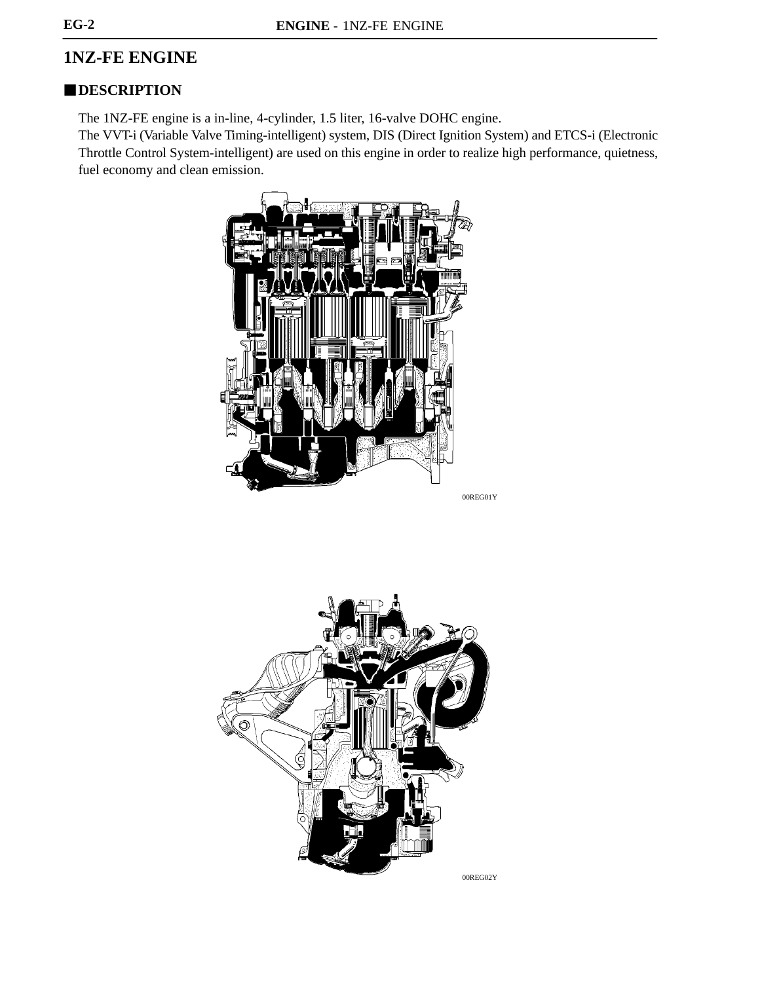# **1NZ-FE ENGINE**

# **DESCRIPTION**

The 1NZ-FE engine is a in-line, 4-cylinder, 1.5 liter, 16-valve DOHC engine.

The VVT-i (Variable Valve Timing-intelligent) system, DIS (Direct Ignition System) and ETCS-i (Electronic Throttle Control System-intelligent) are used on this engine in order to realize high performance, quietness, fuel economy and clean emission.



00REG01Y

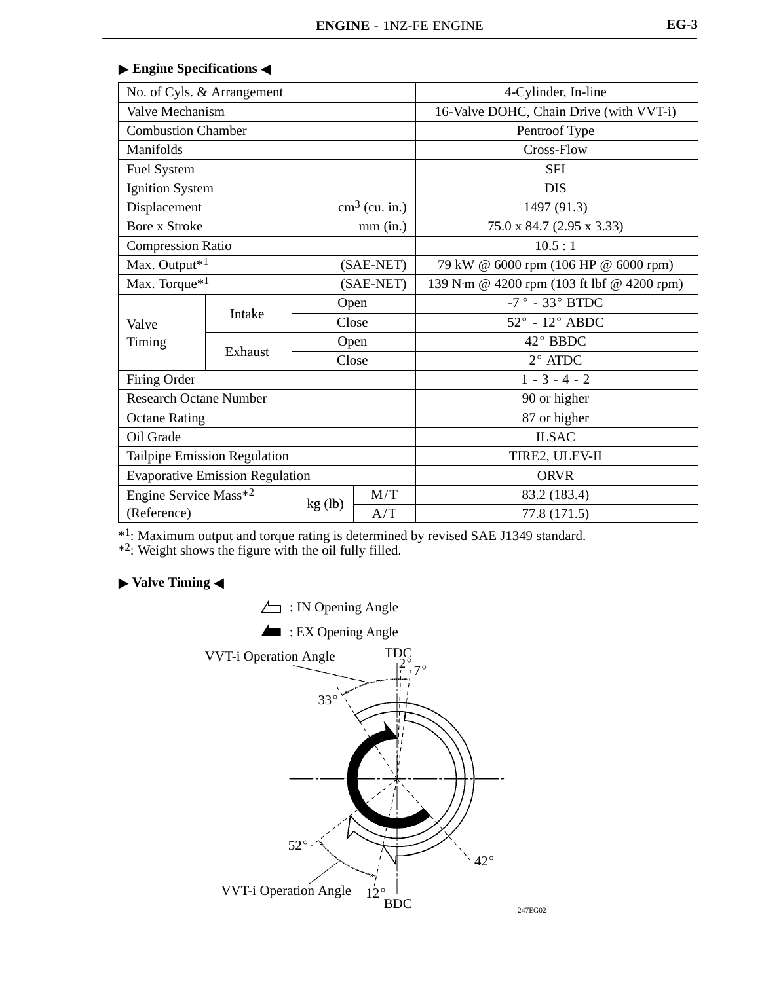| No. of Cyls. & Arrangement    |                                        | 4-Cylinder, In-line |                                            |                                      |  |
|-------------------------------|----------------------------------------|---------------------|--------------------------------------------|--------------------------------------|--|
| Valve Mechanism               |                                        |                     | 16-Valve DOHC, Chain Drive (with VVT-i)    |                                      |  |
| <b>Combustion Chamber</b>     |                                        |                     | Pentroof Type                              |                                      |  |
| Manifolds                     |                                        |                     |                                            | Cross-Flow                           |  |
| Fuel System                   |                                        |                     |                                            | <b>SFI</b>                           |  |
| <b>Ignition System</b>        |                                        |                     |                                            | <b>DIS</b>                           |  |
| Displacement                  |                                        |                     | $\text{cm}^3$ (cu. in.)                    | 1497 (91.3)                          |  |
| <b>Bore x Stroke</b>          |                                        |                     | $mm$ $(in.)$                               | 75.0 x 84.7 (2.95 x 3.33)            |  |
| <b>Compression Ratio</b>      |                                        |                     |                                            | 10.5:1                               |  |
| Max. Output* <sup>1</sup>     |                                        |                     | (SAE-NET)                                  | 79 kW @ 6000 rpm (106 HP @ 6000 rpm) |  |
|                               | Max. Torque <sup>*1</sup><br>(SAE-NET) |                     | 139 N·m @ 4200 rpm (103 ft lbf @ 4200 rpm) |                                      |  |
|                               |                                        | Open                |                                            | -7° - 33° BTDC                       |  |
| Valve                         | Intake                                 | Close               |                                            | $52^{\circ}$ - $12^{\circ}$ ABDC     |  |
| Timing                        |                                        | Open                |                                            | 42° BBDC                             |  |
|                               | Exhaust                                | Close               |                                            | $2^{\circ}$ ATDC                     |  |
|                               | Firing Order                           |                     |                                            | $1 - 3 - 4 - 2$                      |  |
| <b>Research Octane Number</b> |                                        |                     |                                            | 90 or higher                         |  |
| <b>Octane Rating</b>          |                                        |                     |                                            | 87 or higher                         |  |
| Oil Grade                     |                                        |                     | <b>ILSAC</b>                               |                                      |  |
| Tailpipe Emission Regulation  |                                        | TIRE2, ULEV-II      |                                            |                                      |  |
|                               | <b>Evaporative Emission Regulation</b> |                     |                                            | <b>ORVR</b>                          |  |
| Engine Service Mass*2         |                                        |                     | M/T                                        | 83.2 (183.4)                         |  |
| (Reference)                   |                                        | kg (lb)             | A/T                                        | 77.8 (171.5)                         |  |

#### **Engine Specifications**

\*1: Maximum output and torque rating is determined by revised SAE J1349 standard.

\*2: Weight shows the figure with the oil fully filled.

## **Valve Timing** -

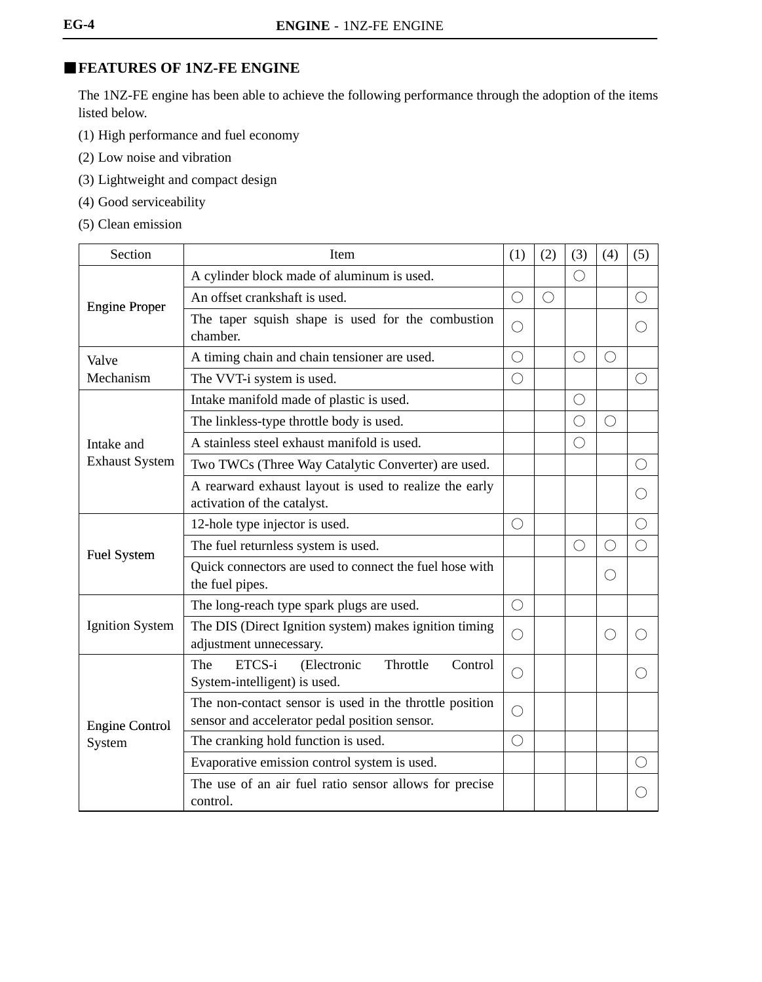# **FEATURES OF 1NZ-FE ENGINE**

The 1NZ-FE engine has been able to achieve the following performance through the adoption of the items listed below.

- (1) High performance and fuel economy
- (2) Low noise and vibration
- (3) Lightweight and compact design
- (4) Good serviceability
- (5) Clean emission

| Section                | Item                                                                                                     |            |            | (3)        | (4)        | (5)                                         |
|------------------------|----------------------------------------------------------------------------------------------------------|------------|------------|------------|------------|---------------------------------------------|
|                        | A cylinder block made of aluminum is used.                                                               |            |            | $\bigcirc$ |            |                                             |
| <b>Engine Proper</b>   | An offset crankshaft is used.                                                                            | $\bigcirc$ | $\bigcirc$ |            |            | ◯                                           |
|                        | The taper squish shape is used for the combustion<br>chamber.                                            | О          |            |            |            | $\left(\begin{array}{c} \end{array}\right)$ |
| Valve                  | A timing chain and chain tensioner are used.                                                             | $\bigcirc$ |            | $\bigcirc$ | O          |                                             |
| Mechanism              | The VVT-i system is used.                                                                                | $\bigcirc$ |            |            |            | ∩                                           |
|                        | Intake manifold made of plastic is used.                                                                 |            |            | $\bigcirc$ |            |                                             |
|                        | The linkless-type throttle body is used.                                                                 |            |            | $\bigcirc$ | $\bigcirc$ |                                             |
| Intake and             | A stainless steel exhaust manifold is used.                                                              |            |            | $\bigcirc$ |            |                                             |
| <b>Exhaust System</b>  | Two TWCs (Three Way Catalytic Converter) are used.                                                       |            |            |            |            | ( )                                         |
|                        | A rearward exhaust layout is used to realize the early<br>activation of the catalyst.                    |            |            |            |            |                                             |
|                        | 12-hole type injector is used.                                                                           | $\bigcirc$ |            |            |            | $\bigcirc$                                  |
| <b>Fuel System</b>     | The fuel returnless system is used.                                                                      |            |            | $\bigcirc$ | $\bigcirc$ | $\bigcirc$                                  |
|                        | Quick connectors are used to connect the fuel hose with<br>the fuel pipes.                               |            |            |            | $\bigcirc$ |                                             |
|                        | The long-reach type spark plugs are used.                                                                | $\bigcirc$ |            |            |            |                                             |
| <b>Ignition System</b> | The DIS (Direct Ignition system) makes ignition timing<br>adjustment unnecessary.                        | $\bigcirc$ |            |            | O          |                                             |
|                        | Throttle<br>ETCS-i<br>(Electronic<br>The<br>Control<br>System-intelligent) is used.                      | O          |            |            |            | $\left(\begin{array}{c} \end{array}\right)$ |
| <b>Engine Control</b>  | The non-contact sensor is used in the throttle position<br>sensor and accelerator pedal position sensor. | $\bigcirc$ |            |            |            |                                             |
| System                 | The cranking hold function is used.                                                                      | $\bigcirc$ |            |            |            |                                             |
|                        | Evaporative emission control system is used.                                                             |            |            |            |            | $(\ \ )$                                    |
|                        | The use of an air fuel ratio sensor allows for precise<br>control.                                       |            |            |            |            |                                             |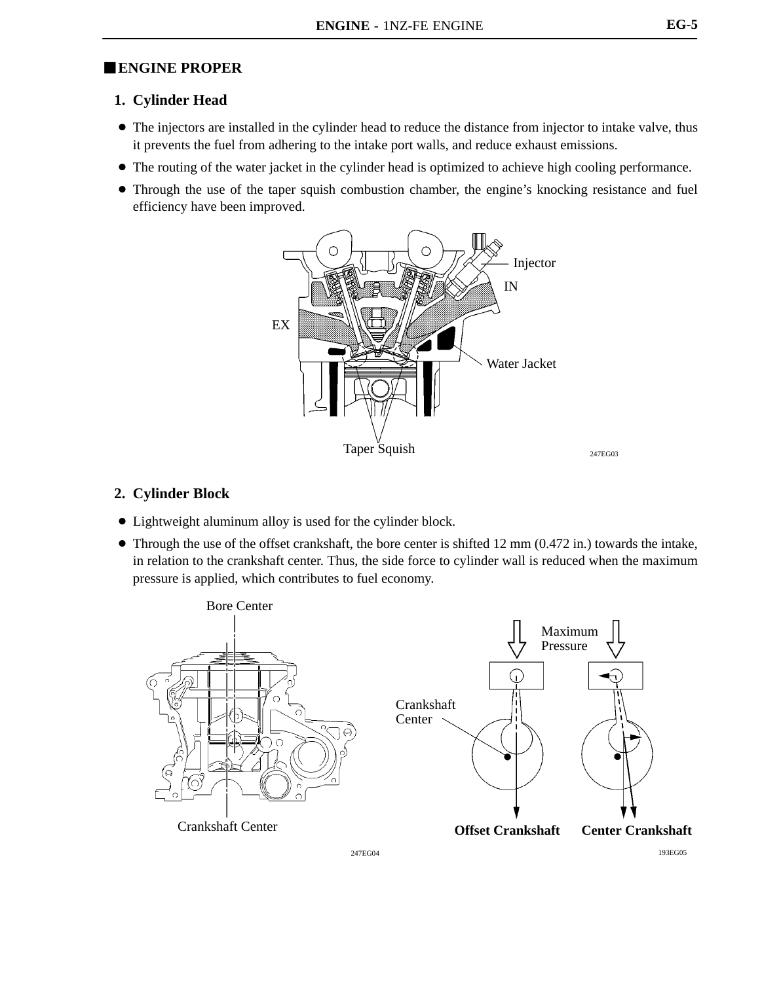# -**ENGINE PROPER**

## **1. Cylinder Head**

- The injectors are installed in the cylinder head to reduce the distance from injector to intake valve, thus it prevents the fuel from adhering to the intake port walls, and reduce exhaust emissions.
- The routing of the water jacket in the cylinder head is optimized to achieve high cooling performance.
- Through the use of the taper squish combustion chamber, the engine's knocking resistance and fuel efficiency have been improved.



## **2. Cylinder Block**

- Lightweight aluminum alloy is used for the cylinder block.
- $\bullet$  Through the use of the offset crankshaft, the bore center is shifted 12 mm (0.472 in.) towards the intake, in relation to the crankshaft center. Thus, the side force to cylinder wall is reduced when the maximum pressure is applied, which contributes to fuel economy.



247EG04 193EG05

**EG-5**

247EG03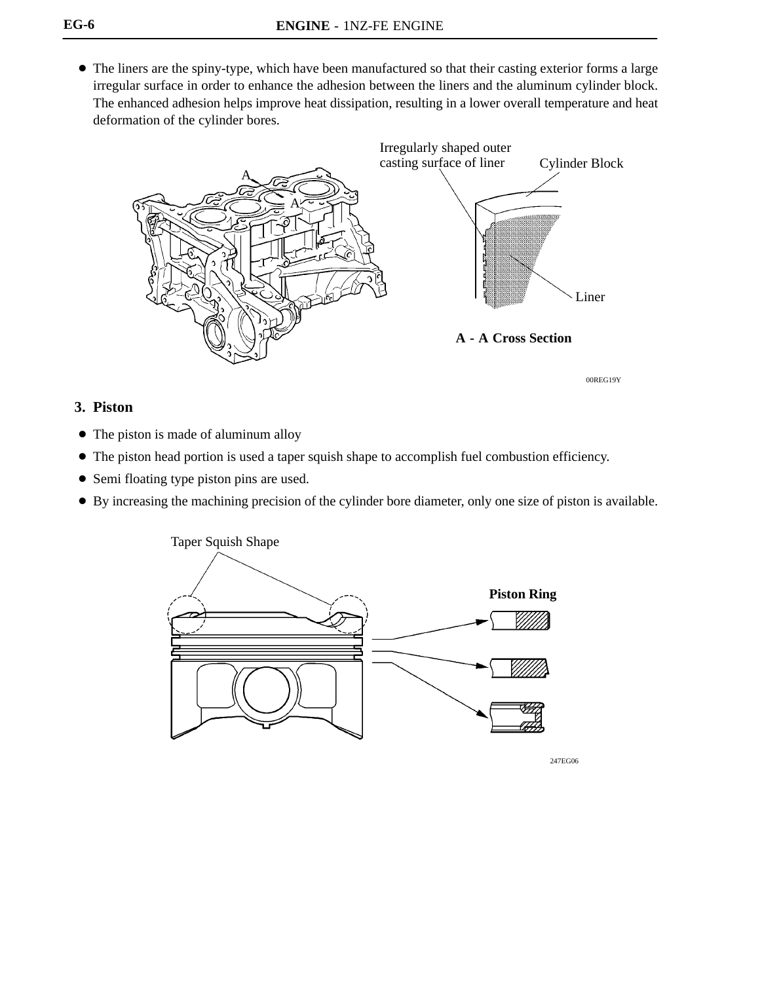The liners are the spiny-type, which have been manufactured so that their casting exterior forms a large irregular surface in order to enhance the adhesion between the liners and the aluminum cylinder block. The enhanced adhesion helps improve heat dissipation, resulting in a lower overall temperature and heat deformation of the cylinder bores.



**3. Piston**

- The piston is made of aluminum alloy
- The piston head portion is used a taper squish shape to accomplish fuel combustion efficiency.
- Semi floating type piston pins are used.
- By increasing the machining precision of the cylinder bore diameter, only one size of piston is available.



247EG06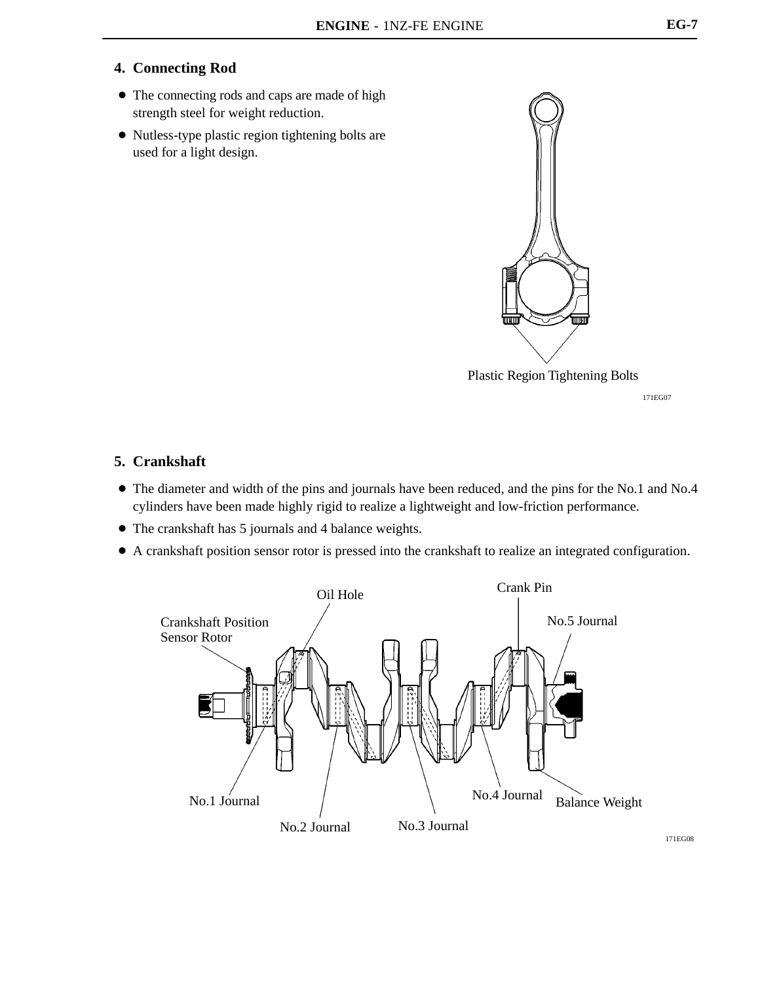## **4. Connecting Rod**

- The connecting rods and caps are made of high strength steel for weight reduction.
- Nutless-type plastic region tightening bolts are used for a light design.



171EG07

### **5. Crankshaft**

- The diameter and width of the pins and journals have been reduced, and the pins for the No.1 and No.4 cylinders have been made highly rigid to realize a lightweight and low-friction performance.
- The crankshaft has 5 journals and 4 balance weights.
- A crankshaft position sensor rotor is pressed into the crankshaft to realize an integrated configuration.

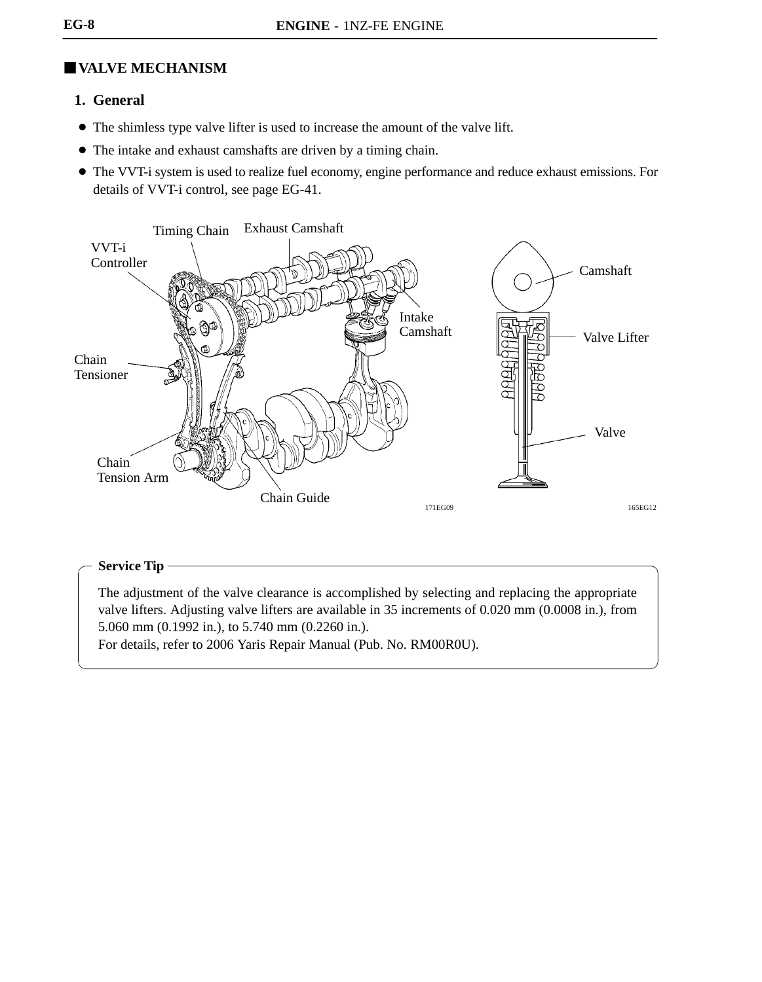# **VALVE MECHANISM**

## **1. General**

- The shimless type valve lifter is used to increase the amount of the valve lift.
- The intake and exhaust camshafts are driven by a timing chain.
- The VVT-i system is used to realize fuel economy, engine performance and reduce exhaust emissions. For details of VVT-i control, see page EG-41.



#### **Service Tip**

The adjustment of the valve clearance is accomplished by selecting and replacing the appropriate valve lifters. Adjusting valve lifters are available in 35 increments of 0.020 mm (0.0008 in.), from 5.060 mm (0.1992 in.), to 5.740 mm (0.2260 in.).

For details, refer to 2006 Yaris Repair Manual (Pub. No. RM00R0U).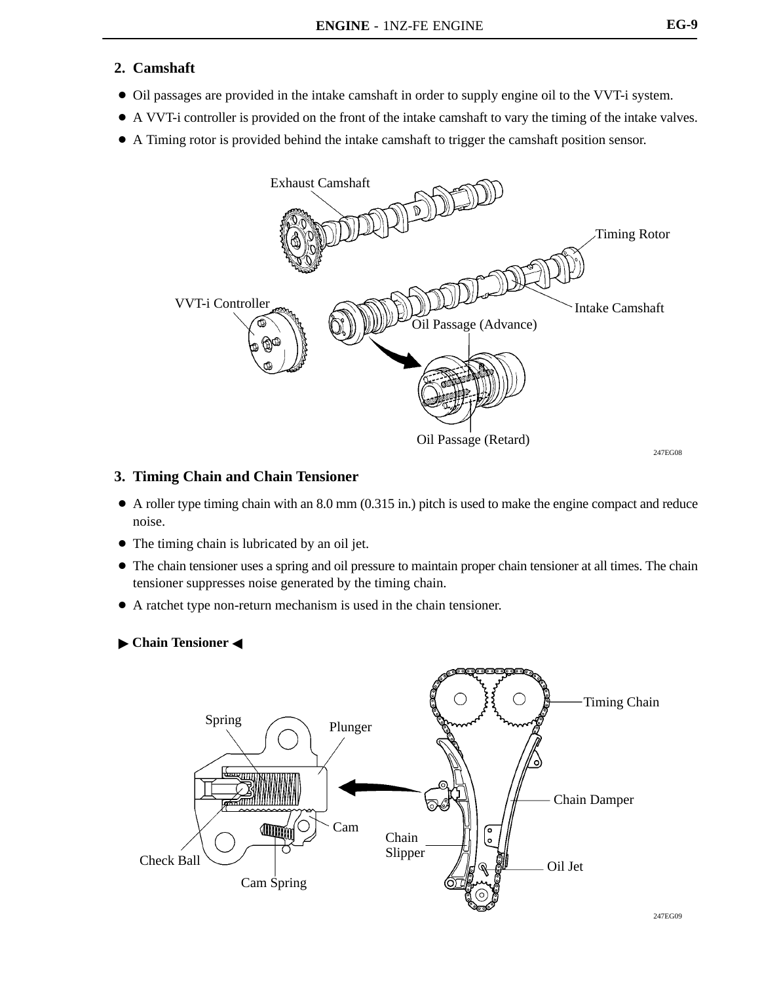## **2. Camshaft**

- Oil passages are provided in the intake camshaft in order to supply engine oil to the VVT-i system.
- A VVT-i controller is provided on the front of the intake camshaft to vary the timing of the intake valves.
- A Timing rotor is provided behind the intake camshaft to trigger the camshaft position sensor.



#### **3. Timing Chain and Chain Tensioner**

- $\bullet$  A roller type timing chain with an 8.0 mm (0.315 in.) pitch is used to make the engine compact and reduce noise.
- The timing chain is lubricated by an oil jet.
- The chain tensioner uses a spring and oil pressure to maintain proper chain tensioner at all times. The chain tensioner suppresses noise generated by the timing chain.
- A ratchet type non-return mechanism is used in the chain tensioner.
- **Chain Tensioner <**

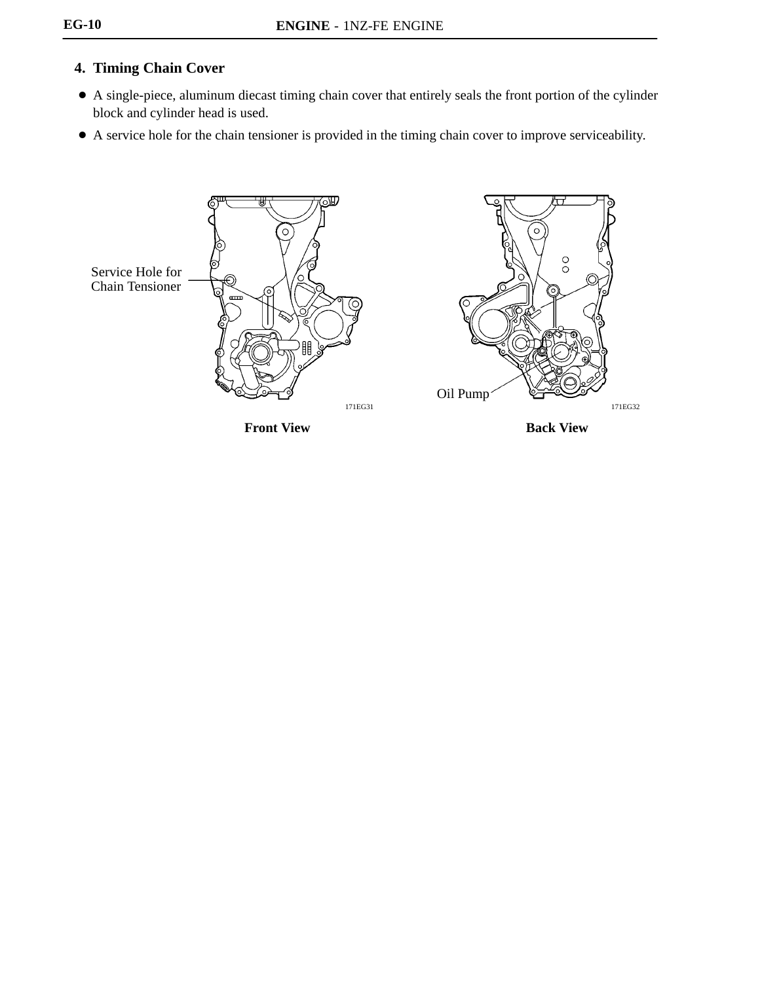# **4. Timing Chain Cover**

- A single-piece, aluminum diecast timing chain cover that entirely seals the front portion of the cylinder block and cylinder head is used.
- A service hole for the chain tensioner is provided in the timing chain cover to improve serviceability.

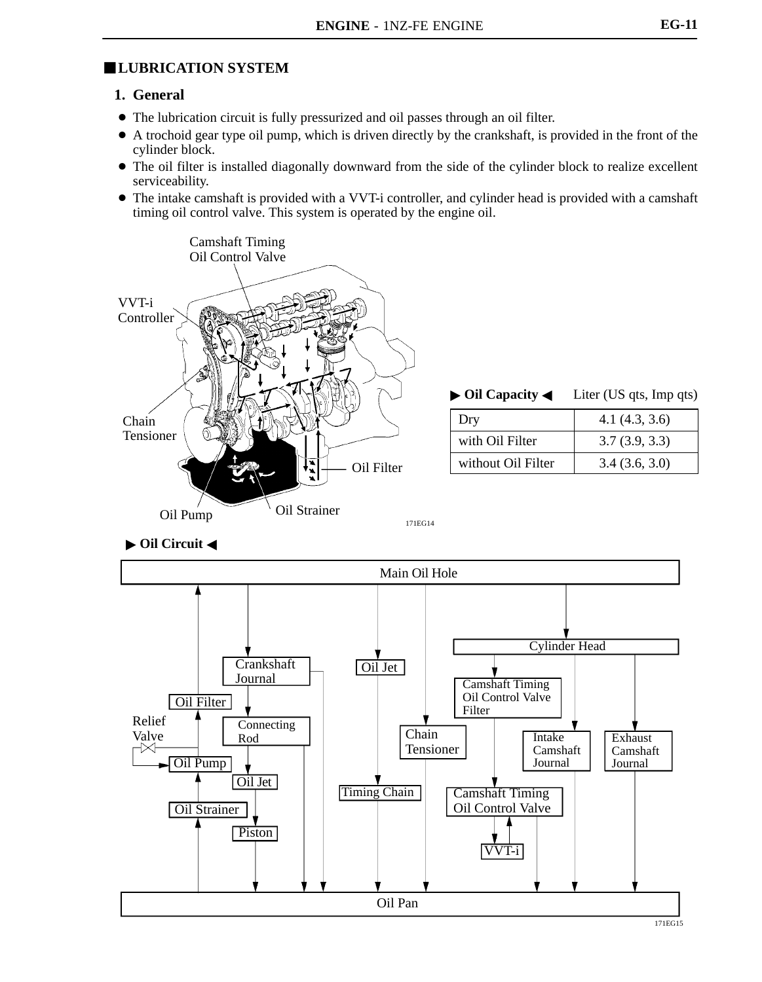# **LUBRICATION SYSTEM**

#### **1. General**

- The lubrication circuit is fully pressurized and oil passes through an oil filter.
- A trochoid gear type oil pump, which is driven directly by the crankshaft, is provided in the front of the cylinder block.
- The oil filter is installed diagonally downward from the side of the cylinder block to realize excellent serviceability.
- The intake camshaft is provided with a VVT-i controller, and cylinder head is provided with a camshaft timing oil control valve. This system is operated by the engine oil.



|                    | $\triangleright$ Oil Capacity $\triangleleft$ Liter (US qts, Imp qts) |  |  |
|--------------------|-----------------------------------------------------------------------|--|--|
| Dry                | 4.1(4.3, 3.6)                                                         |  |  |
| with Oil Filter    | 3.7(3.9, 3.3)                                                         |  |  |
| without Oil Filter | 3.4(3.6, 3.0)                                                         |  |  |

▶ Oil Circuit ◀



171EG15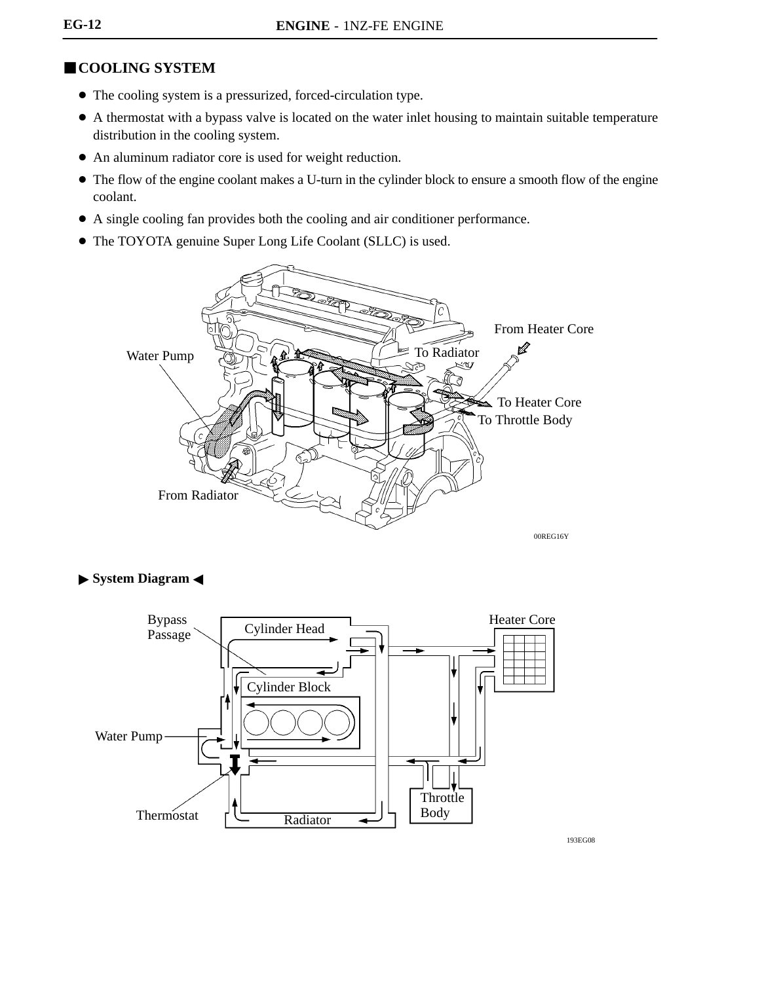# **COOLING SYSTEM**

- The cooling system is a pressurized, forced-circulation type.
- A thermostat with a bypass valve is located on the water inlet housing to maintain suitable temperature distribution in the cooling system.
- An aluminum radiator core is used for weight reduction.
- The flow of the engine coolant makes a U-turn in the cylinder block to ensure a smooth flow of the engine coolant.
- A single cooling fan provides both the cooling and air conditioner performance.
- The TOYOTA genuine Super Long Life Coolant (SLLC) is used.



#### **System Diagram <**



193EG08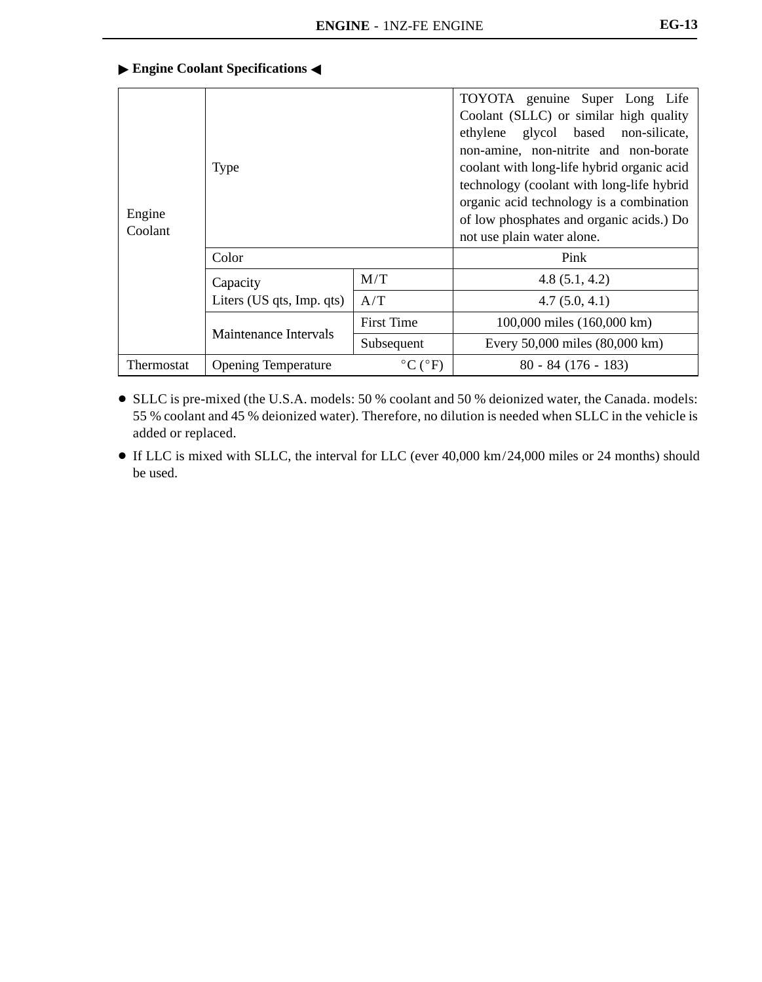#### **Engine Coolant Specifications**

| Engine<br>Coolant | <b>Type</b>                |                                     | TOYOTA genuine Super Long Life<br>Coolant (SLLC) or similar high quality<br>ethylene glycol based<br>non-silicate,<br>non-amine, non-nitrite and non-borate<br>coolant with long-life hybrid organic acid<br>technology (coolant with long-life hybrid<br>organic acid technology is a combination<br>of low phosphates and organic acids.) Do<br>not use plain water alone. |  |
|-------------------|----------------------------|-------------------------------------|------------------------------------------------------------------------------------------------------------------------------------------------------------------------------------------------------------------------------------------------------------------------------------------------------------------------------------------------------------------------------|--|
|                   | Color                      |                                     | Pink                                                                                                                                                                                                                                                                                                                                                                         |  |
|                   | Capacity                   | M/T                                 | 4.8(5.1, 4.2)                                                                                                                                                                                                                                                                                                                                                                |  |
|                   | Liters (US qts, Imp. qts)  | A/T                                 | 4.7(5.0, 4.1)                                                                                                                                                                                                                                                                                                                                                                |  |
|                   |                            | <b>First Time</b>                   | 100,000 miles (160,000 km)                                                                                                                                                                                                                                                                                                                                                   |  |
|                   | Maintenance Intervals      | Subsequent                          | Every 50,000 miles (80,000 km)                                                                                                                                                                                                                                                                                                                                               |  |
| Thermostat        | <b>Opening Temperature</b> | $\rm ^{\circ}C$ ( $\rm ^{\circ}F$ ) | $80 - 84(176 - 183)$                                                                                                                                                                                                                                                                                                                                                         |  |

- SLLC is pre-mixed (the U.S.A. models: 50 % coolant and 50 % deionized water, the Canada. models: 55 % coolant and 45 % deionized water). Therefore, no dilution is needed when SLLC in the vehicle is added or replaced.
- If LLC is mixed with SLLC, the interval for LLC (ever 40,000 km/24,000 miles or 24 months) should be used.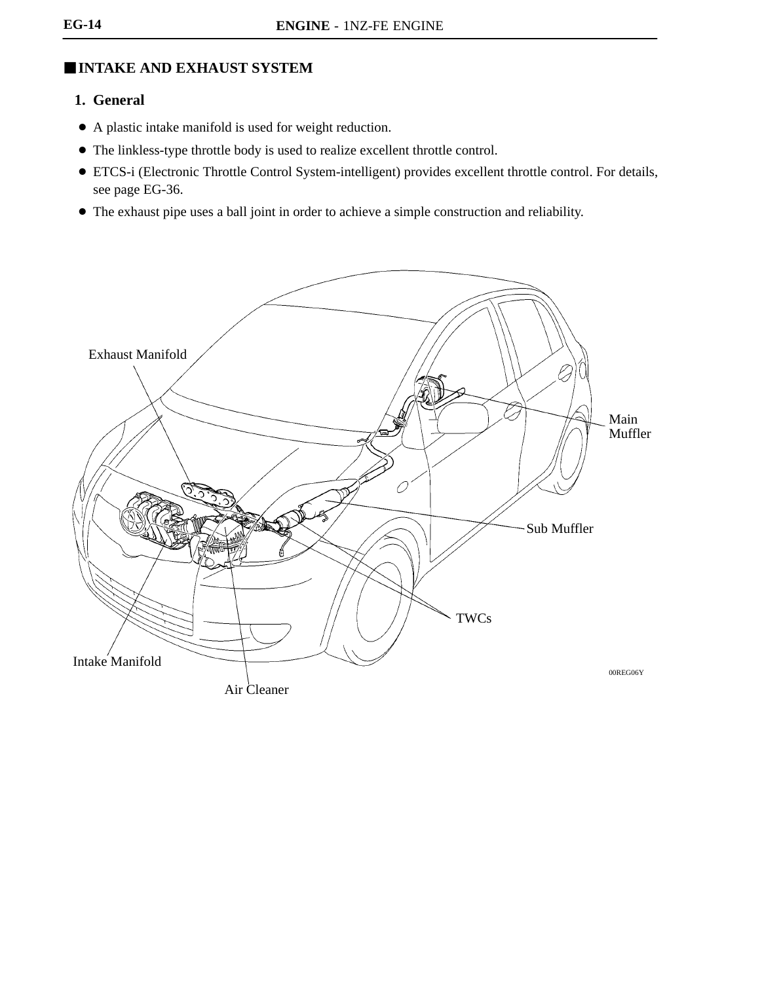# -**INTAKE AND EXHAUST SYSTEM**

# **1. General**

- A plastic intake manifold is used for weight reduction.
- The linkless-type throttle body is used to realize excellent throttle control.
- ETCS-i (Electronic Throttle Control System-intelligent) provides excellent throttle control. For details, see page EG-36.
- The exhaust pipe uses a ball joint in order to achieve a simple construction and reliability.

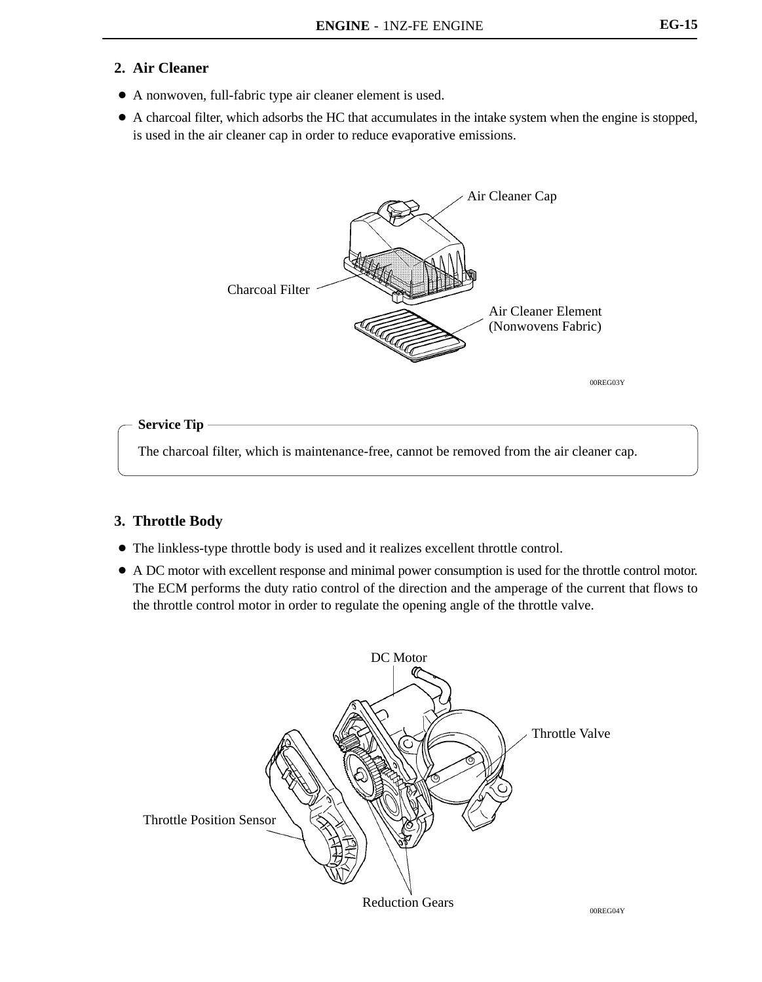## **2. Air Cleaner**

- A nonwoven, full-fabric type air cleaner element is used.
- A charcoal filter, which adsorbs the HC that accumulates in the intake system when the engine is stopped, is used in the air cleaner cap in order to reduce evaporative emissions.



**Service Tip**

The charcoal filter, which is maintenance-free, cannot be removed from the air cleaner cap.

#### **3. Throttle Body**

- The linkless-type throttle body is used and it realizes excellent throttle control.
- A DC motor with excellent response and minimal power consumption is used for the throttle control motor. The ECM performs the duty ratio control of the direction and the amperage of the current that flows to the throttle control motor in order to regulate the opening angle of the throttle valve.

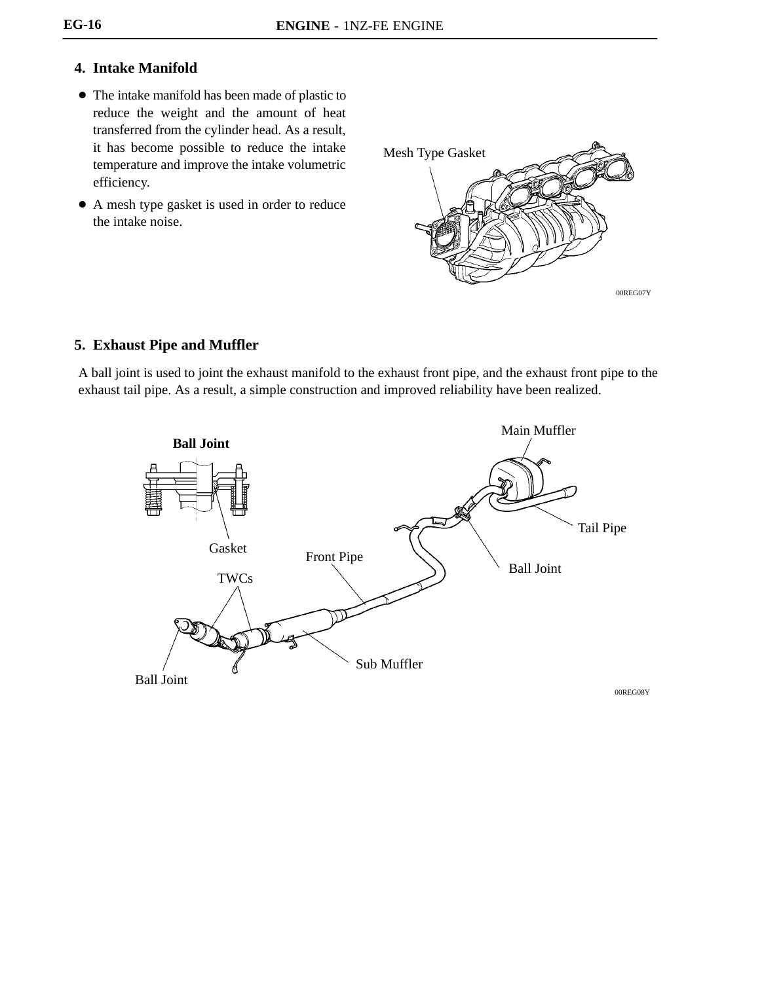# **4. Intake Manifold**

- The intake manifold has been made of plastic to reduce the weight and the amount of heat transferred from the cylinder head. As a result, it has become possible to reduce the intake temperature and improve the intake volumetric efficiency.
- A mesh type gasket is used in order to reduce the intake noise.



## **5. Exhaust Pipe and Muffler**

A ball joint is used to joint the exhaust manifold to the exhaust front pipe, and the exhaust front pipe to the exhaust tail pipe. As a result, a simple construction and improved reliability have been realized.

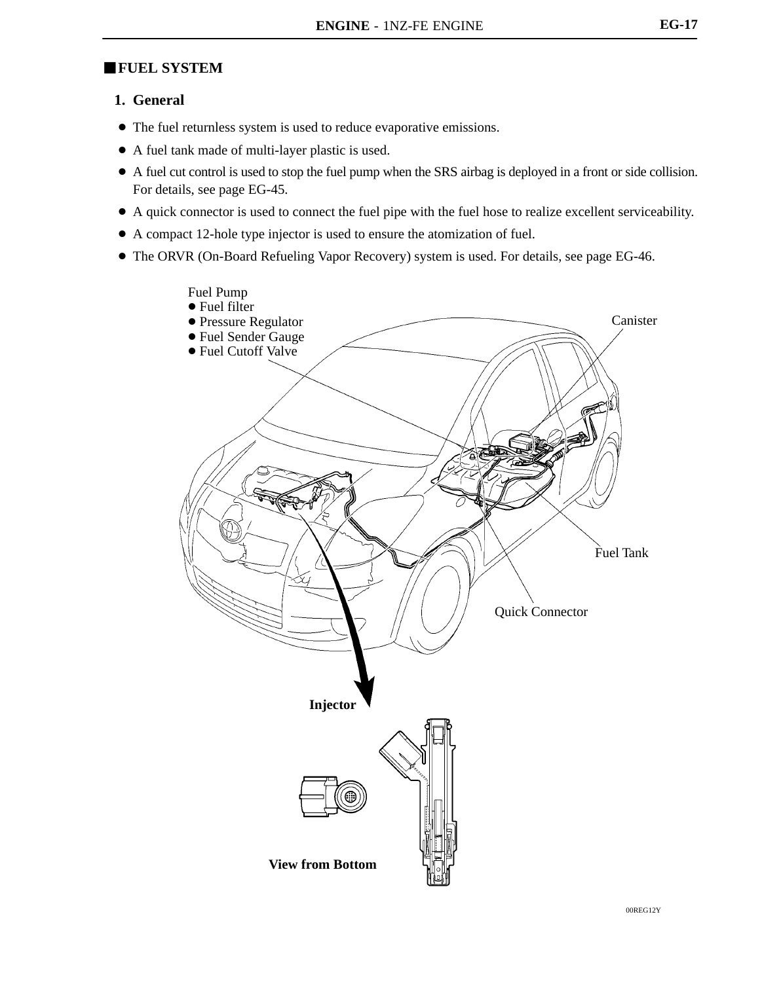# **FUEL SYSTEM**

#### **1. General**

- The fuel returnless system is used to reduce evaporative emissions.
- A fuel tank made of multi-layer plastic is used.
- A fuel cut control is used to stop the fuel pump when the SRS airbag is deployed in a front or side collision. For details, see page EG-45.
- A quick connector is used to connect the fuel pipe with the fuel hose to realize excellent serviceability.
- A compact 12-hole type injector is used to ensure the atomization of fuel.
- The ORVR (On-Board Refueling Vapor Recovery) system is used. For details, see page EG-46.

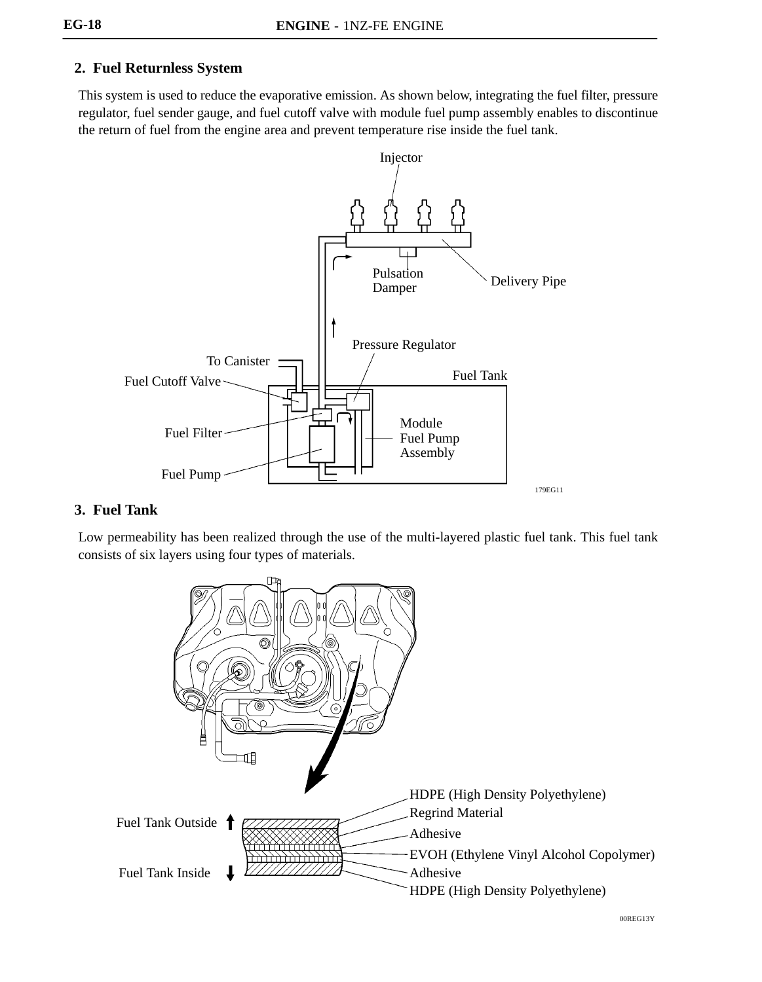# **2. Fuel Returnless System**

This system is used to reduce the evaporative emission. As shown below, integrating the fuel filter, pressure regulator, fuel sender gauge, and fuel cutoff valve with module fuel pump assembly enables to discontinue the return of fuel from the engine area and prevent temperature rise inside the fuel tank.



# **3. Fuel Tank**

Low permeability has been realized through the use of the multi-layered plastic fuel tank. This fuel tank consists of six layers using four types of materials.

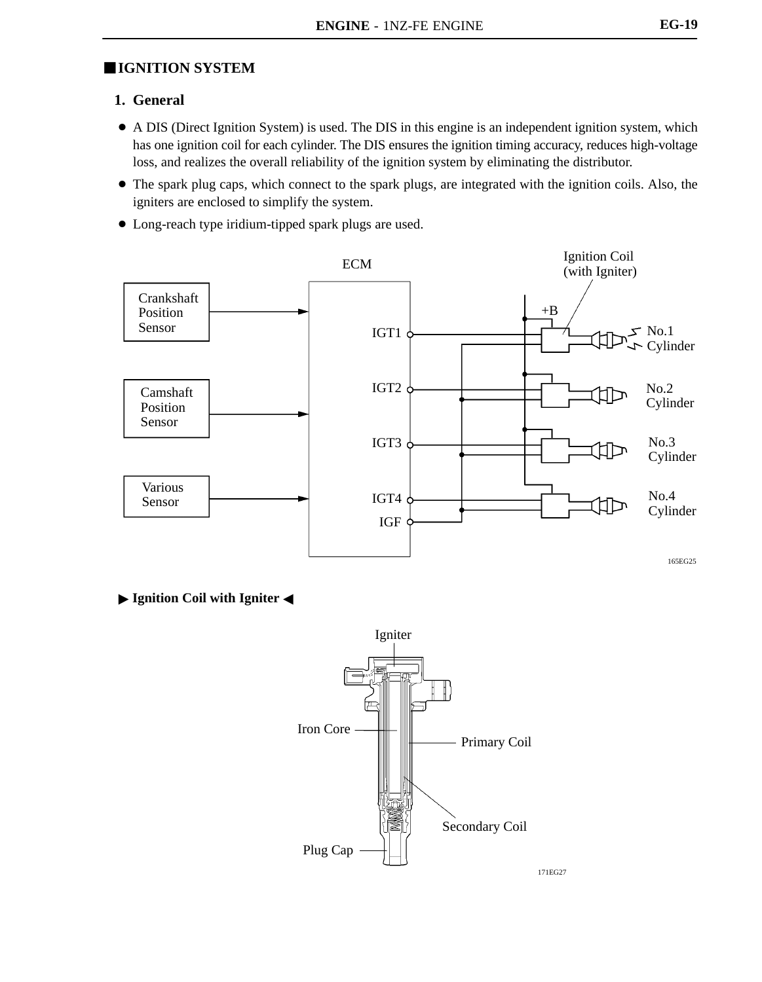# **IGNITION SYSTEM**

## **1. General**

- A DIS (Direct Ignition System) is used. The DIS in this engine is an independent ignition system, which has one ignition coil for each cylinder. The DIS ensures the ignition timing accuracy, reduces high-voltage loss, and realizes the overall reliability of the ignition system by eliminating the distributor.
- The spark plug caps, which connect to the spark plugs, are integrated with the ignition coils. Also, the igniters are enclosed to simplify the system.
- Long-reach type iridium-tipped spark plugs are used.



**Ignition Coil with Igniter 4** 

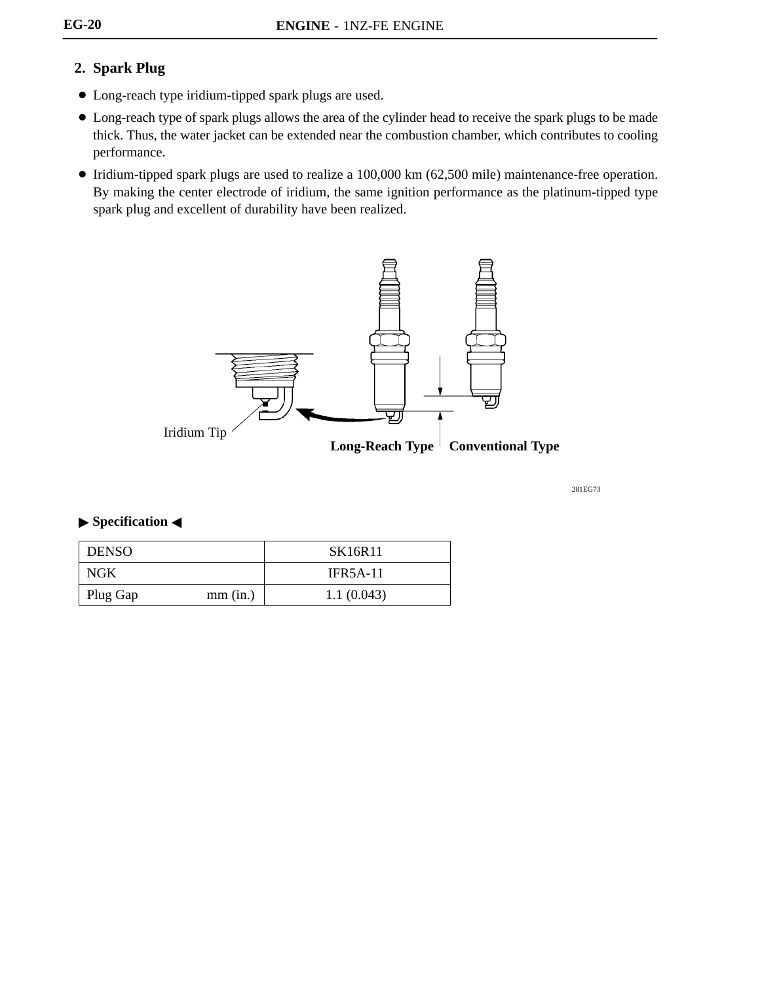# **2. Spark Plug**

- Long-reach type iridium-tipped spark plugs are used.
- Long-reach type of spark plugs allows the area of the cylinder head to receive the spark plugs to be made thick. Thus, the water jacket can be extended near the combustion chamber, which contributes to cooling performance.
- Iridium-tipped spark plugs are used to realize a 100,000 km (62,500 mile) maintenance-free operation. By making the center electrode of iridium, the same ignition performance as the platinum-tipped type spark plug and excellent of durability have been realized.



281EG73

### **Specification <**

| <b>DENSO</b> |            | SK16R11         |
|--------------|------------|-----------------|
| <b>NGK</b>   |            | <b>IFR5A-11</b> |
| Plug Gap     | $mm$ (in.) | 1.1(0.043)      |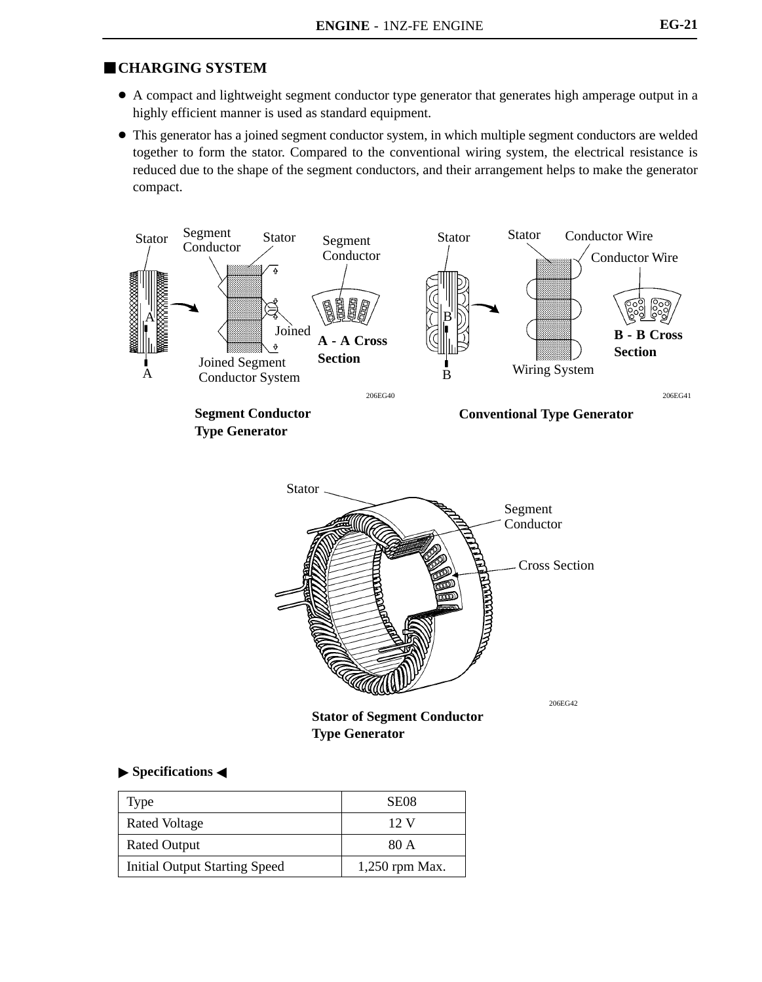## **CHARGING SYSTEM**

- A compact and lightweight segment conductor type generator that generates high amperage output in a highly efficient manner is used as standard equipment.
- This generator has a joined segment conductor system, in which multiple segment conductors are welded together to form the stator. Compared to the conventional wiring system, the electrical resistance is reduced due to the shape of the segment conductors, and their arrangement helps to make the generator compact.





**Stator of Segment Conductor Type Generator**

#### **Specifications**

| Type                                 | SE <sub>08</sub> |
|--------------------------------------|------------------|
| Rated Voltage                        | 12 V             |
| <b>Rated Output</b>                  | 80 A             |
| <b>Initial Output Starting Speed</b> | $1,250$ rpm Max. |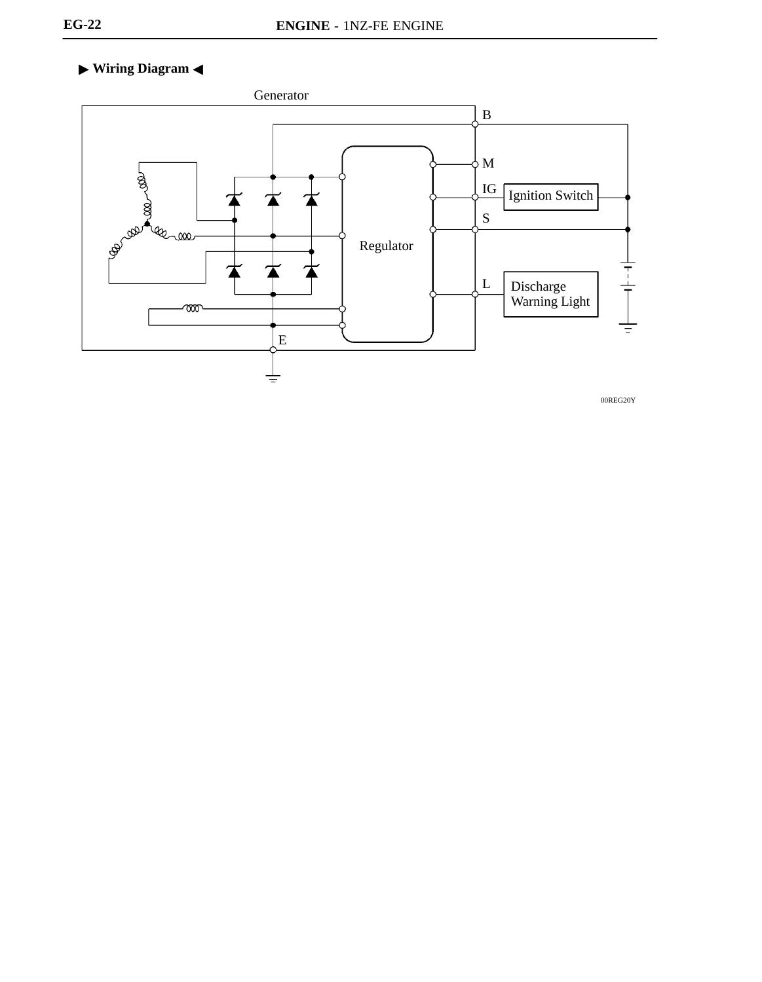# ▶ Wiring Diagram **→**



00REG20Y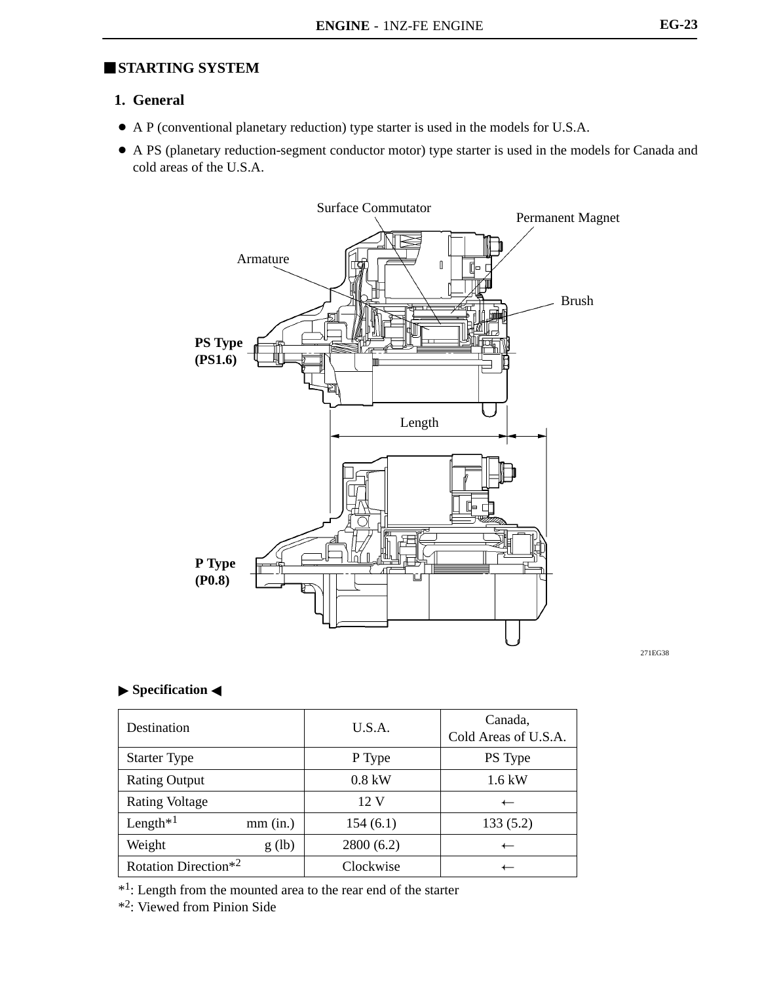## **STARTING SYSTEM**

## **1. General**

- A P (conventional planetary reduction) type starter is used in the models for U.S.A.
- A PS (planetary reduction-segment conductor motor) type starter is used in the models for Canada and cold areas of the U.S.A.



271EG38

#### **Specification <**

| Destination                      |            | U.S.A.         | Canada,<br>Cold Areas of U.S.A. |
|----------------------------------|------------|----------------|---------------------------------|
| <b>Starter Type</b>              |            | P Type         | PS Type                         |
| <b>Rating Output</b>             |            | $0.8$ kW       | $1.6$ kW                        |
| <b>Rating Voltage</b>            |            | $12 \text{ V}$ | $\overline{\phantom{0}}$        |
| Length $*1$                      | $mm$ (in.) | 154(6.1)       | 133(5.2)                        |
| Weight                           | g(h)       | 2800(6.2)      | $\overline{\phantom{0}}$        |
| Rotation Direction <sup>*2</sup> |            | Clockwise      |                                 |

\*1: Length from the mounted area to the rear end of the starter

\*2: Viewed from Pinion Side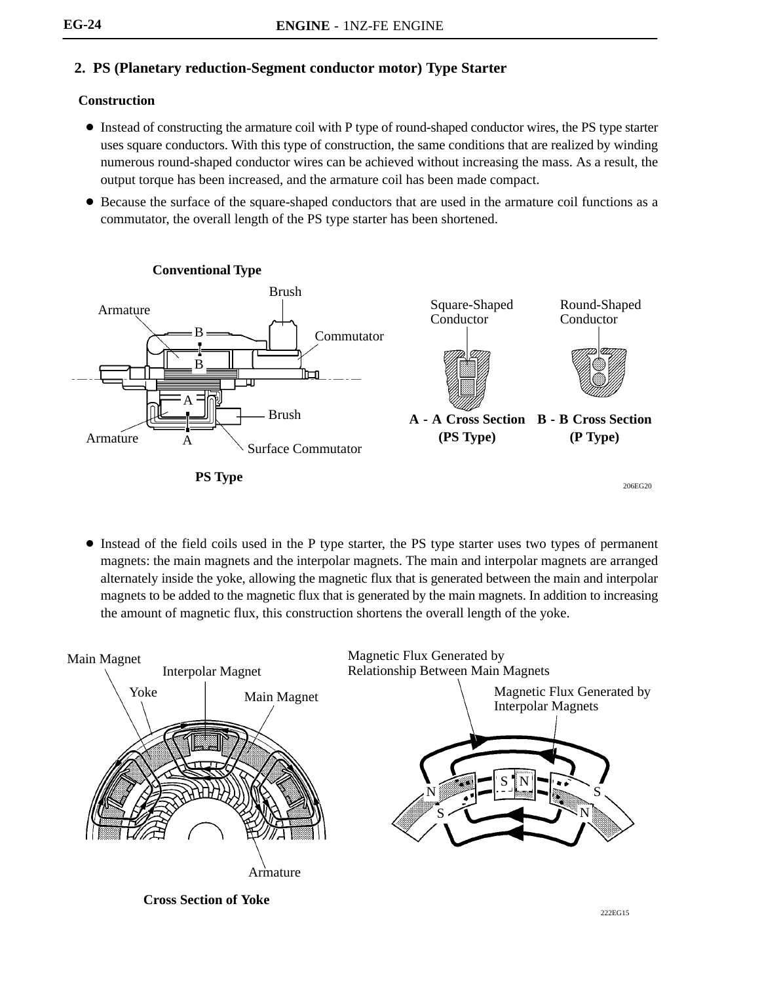# **2. PS (Planetary reduction-Segment conductor motor) Type Starter**

#### **Construction**

- Instead of constructing the armature coil with P type of round-shaped conductor wires, the PS type starter uses square conductors. With this type of construction, the same conditions that are realized by winding numerous round-shaped conductor wires can be achieved without increasing the mass. As a result, the output torque has been increased, and the armature coil has been made compact.
- Because the surface of the square-shaped conductors that are used in the armature coil functions as a commutator, the overall length of the PS type starter has been shortened.



 Instead of the field coils used in the P type starter, the PS type starter uses two types of permanent magnets: the main magnets and the interpolar magnets. The main and interpolar magnets are arranged alternately inside the yoke, allowing the magnetic flux that is generated between the main and interpolar magnets to be added to the magnetic flux that is generated by the main magnets. In addition to increasing the amount of magnetic flux, this construction shortens the overall length of the yoke.

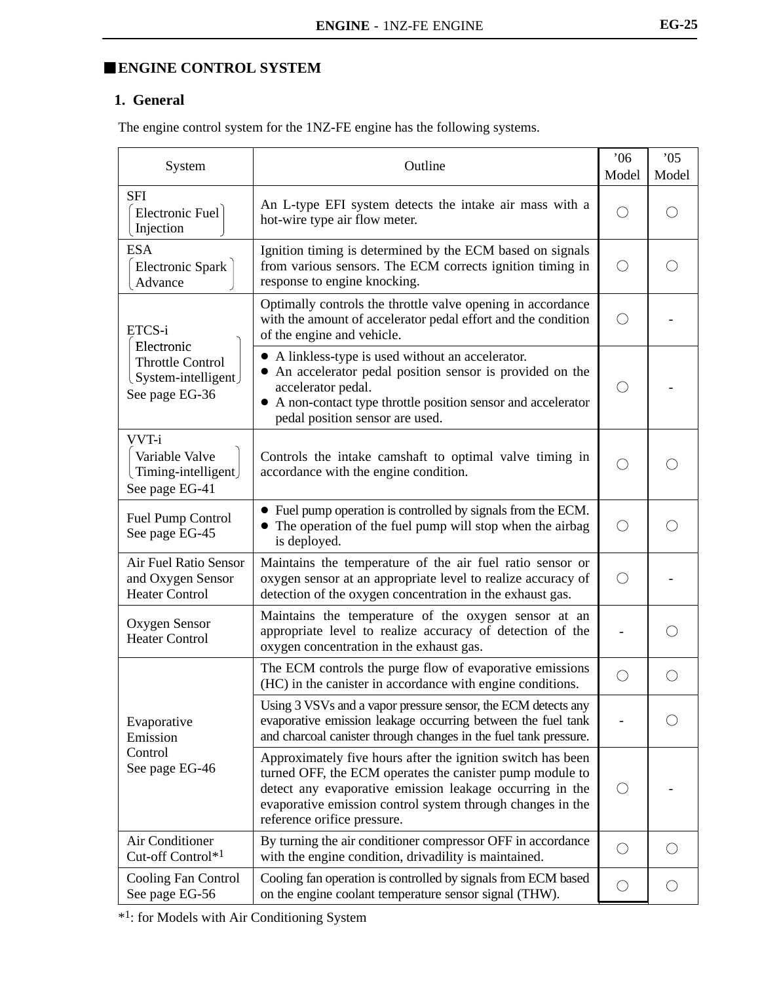# **ENGINE CONTROL SYSTEM**

## **1. General**

The engine control system for the 1NZ-FE engine has the following systems.

| System                                                              | Outline                                                                                                                                                                                                                                                                          | 06'<br>Model | 05<br>Model |
|---------------------------------------------------------------------|----------------------------------------------------------------------------------------------------------------------------------------------------------------------------------------------------------------------------------------------------------------------------------|--------------|-------------|
| <b>SFI</b><br>Electronic Fuel<br>Injection                          | An L-type EFI system detects the intake air mass with a<br>hot-wire type air flow meter.                                                                                                                                                                                         |              |             |
| <b>ESA</b><br><b>Electronic Spark</b><br>Advance                    | Ignition timing is determined by the ECM based on signals<br>from various sensors. The ECM corrects ignition timing in<br>response to engine knocking.                                                                                                                           | ( )          |             |
| ETCS-i<br>Electronic                                                | Optimally controls the throttle valve opening in accordance<br>with the amount of accelerator pedal effort and the condition<br>of the engine and vehicle.                                                                                                                       | ◯            |             |
| <b>Throttle Control</b><br>(System-intelligent)<br>See page EG-36   | • A linkless-type is used without an accelerator.<br>An accelerator pedal position sensor is provided on the<br>accelerator pedal.<br>• A non-contact type throttle position sensor and accelerator<br>pedal position sensor are used.                                           | O            |             |
| VVT-i<br>Variable Valve<br>Timing-intelligent<br>See page EG-41     | Controls the intake camshaft to optimal valve timing in<br>accordance with the engine condition.                                                                                                                                                                                 | ()           |             |
| Fuel Pump Control<br>See page EG-45                                 | • Fuel pump operation is controlled by signals from the ECM.<br>• The operation of the fuel pump will stop when the airbag<br>is deployed.                                                                                                                                       | ( )          |             |
| Air Fuel Ratio Sensor<br>and Oxygen Sensor<br><b>Heater Control</b> | Maintains the temperature of the air fuel ratio sensor or<br>oxygen sensor at an appropriate level to realize accuracy of<br>detection of the oxygen concentration in the exhaust gas.                                                                                           | ( )          |             |
| Oxygen Sensor<br><b>Heater Control</b>                              | Maintains the temperature of the oxygen sensor at an<br>appropriate level to realize accuracy of detection of the<br>oxygen concentration in the exhaust gas.                                                                                                                    |              |             |
|                                                                     | The ECM controls the purge flow of evaporative emissions<br>(HC) in the canister in accordance with engine conditions.                                                                                                                                                           | $\bigcirc$   | ()          |
| Evaporative<br>Emission                                             | Using 3 VSVs and a vapor pressure sensor, the ECM detects any<br>evaporative emission leakage occurring between the fuel tank<br>and charcoal canister through changes in the fuel tank pressure.                                                                                |              |             |
| Control<br>See page EG-46                                           | Approximately five hours after the ignition switch has been<br>turned OFF, the ECM operates the canister pump module to<br>detect any evaporative emission leakage occurring in the<br>evaporative emission control system through changes in the<br>reference orifice pressure. | $\bigcirc$   |             |
| Air Conditioner<br>Cut-off Control*1                                | By turning the air conditioner compressor OFF in accordance<br>with the engine condition, drivadility is maintained.                                                                                                                                                             | $\bigcirc$   |             |
| Cooling Fan Control<br>See page EG-56                               | Cooling fan operation is controlled by signals from ECM based<br>on the engine coolant temperature sensor signal (THW).                                                                                                                                                          | $\bigcirc$   |             |

\*1: for Models with Air Conditioning System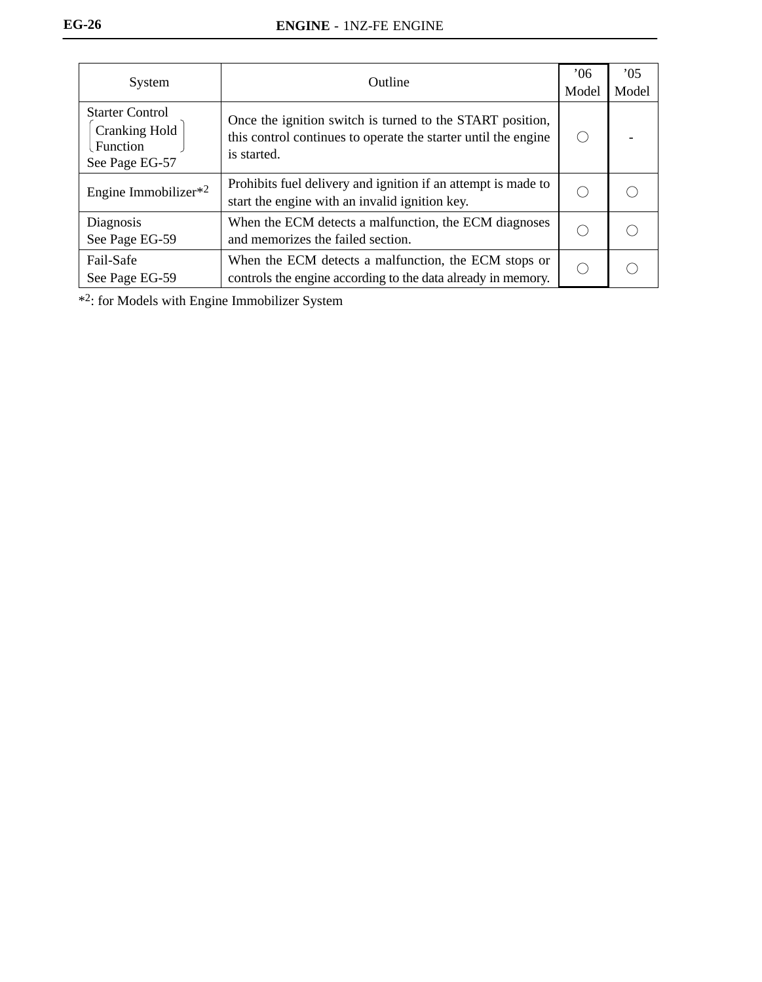| System                                                                       | Outline                                                                                                                                    | 06'<br>Model | 05<br>Model |
|------------------------------------------------------------------------------|--------------------------------------------------------------------------------------------------------------------------------------------|--------------|-------------|
| <b>Starter Control</b><br><b>Cranking Hold</b><br>Function<br>See Page EG-57 | Once the ignition switch is turned to the START position,<br>this control continues to operate the starter until the engine<br>is started. |              |             |
| Engine Immobilizer $*^2$                                                     | Prohibits fuel delivery and ignition if an attempt is made to<br>start the engine with an invalid ignition key.                            |              |             |
| Diagnosis<br>See Page EG-59                                                  | When the ECM detects a malfunction, the ECM diagnoses<br>and memorizes the failed section.                                                 |              |             |
| Fail-Safe<br>See Page EG-59                                                  | When the ECM detects a malfunction, the ECM stops or<br>controls the engine according to the data already in memory.                       |              |             |

\*2: for Models with Engine Immobilizer System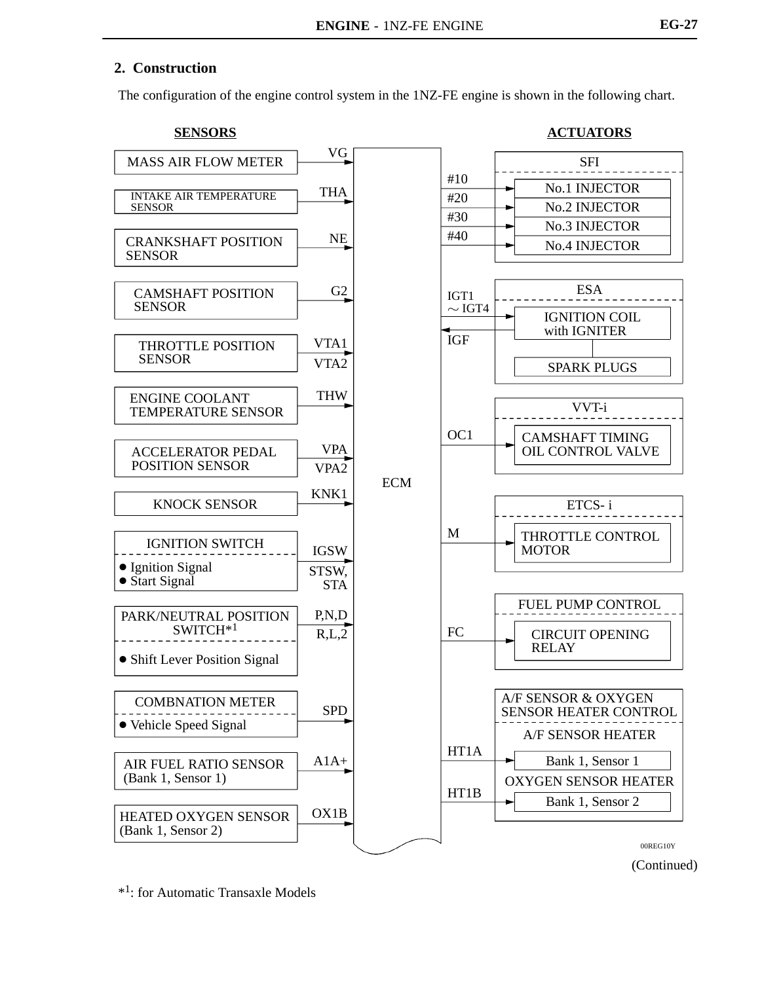### **2. Construction**

The configuration of the engine control system in the 1NZ-FE engine is shown in the following chart.



\*1: for Automatic Transaxle Models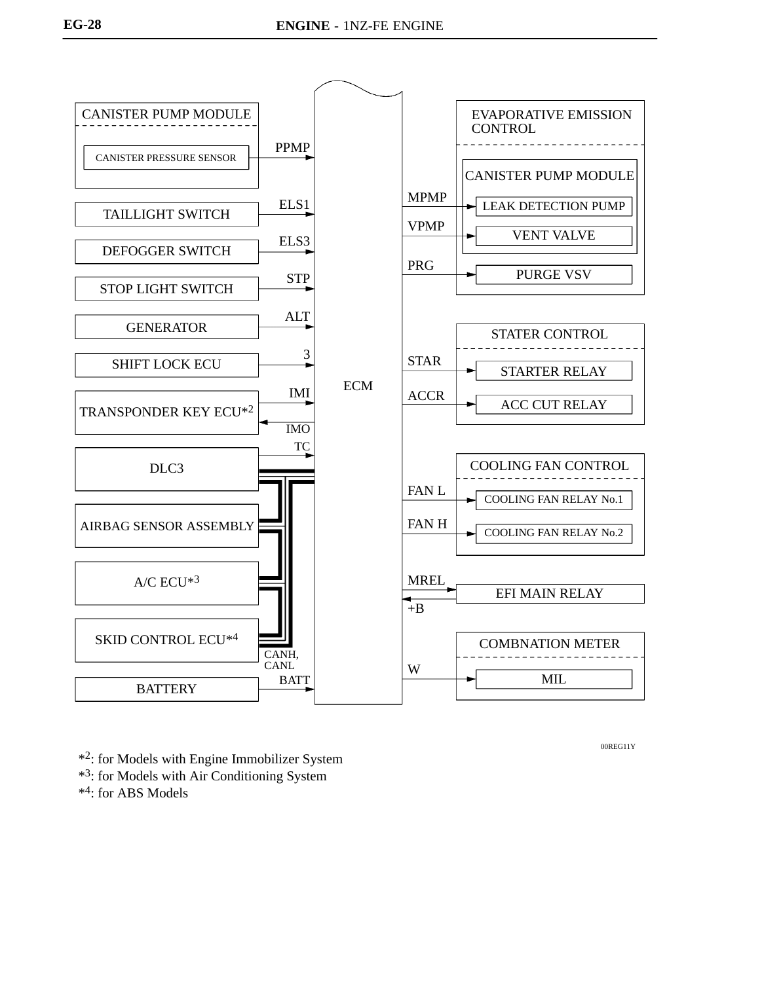

00REG11Y

- \*2: for Models with Engine Immobilizer System
- \*3: for Models with Air Conditioning System

\*4: for ABS Models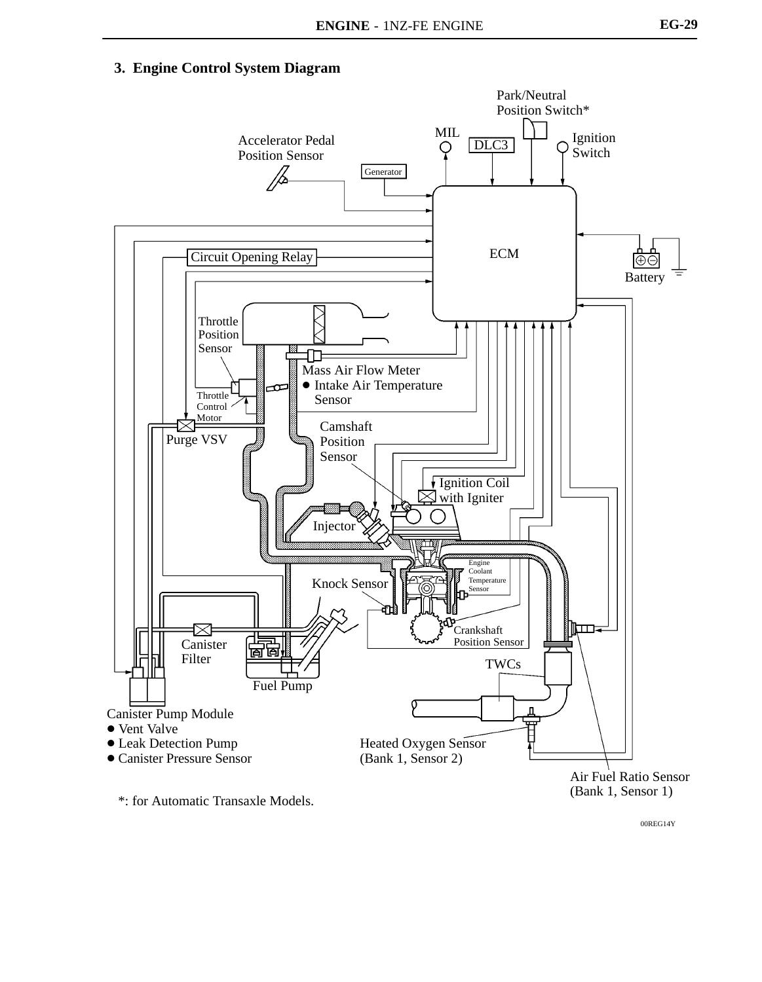## **3. Engine Control System Diagram**



00REG14Y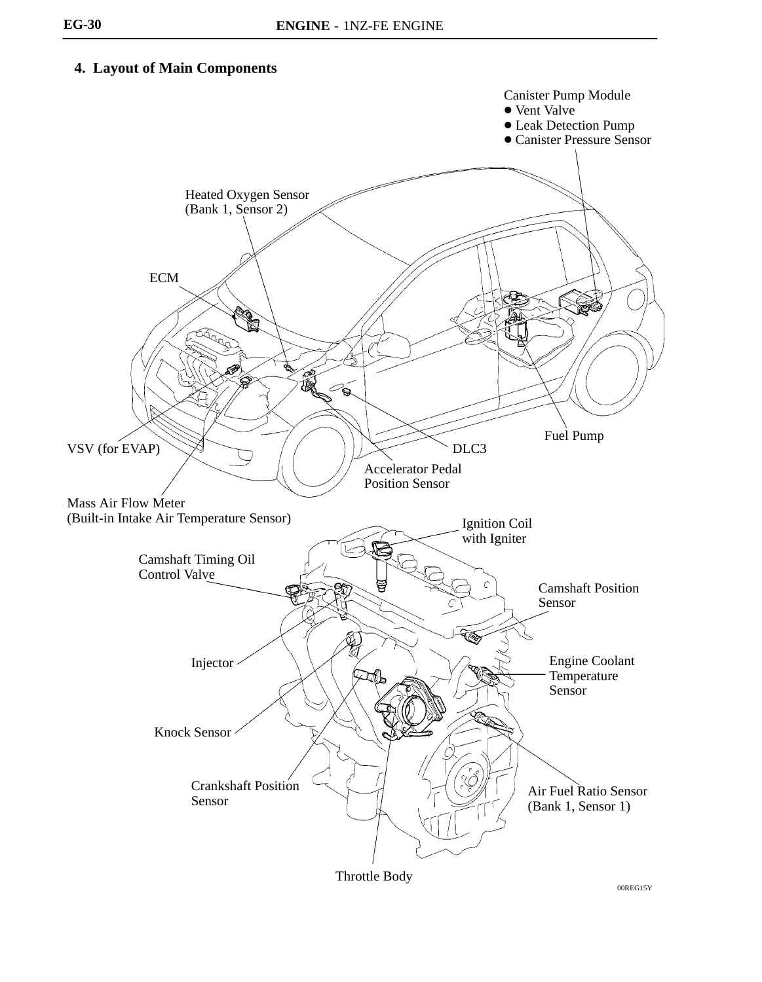# **4. Layout of Main Components**

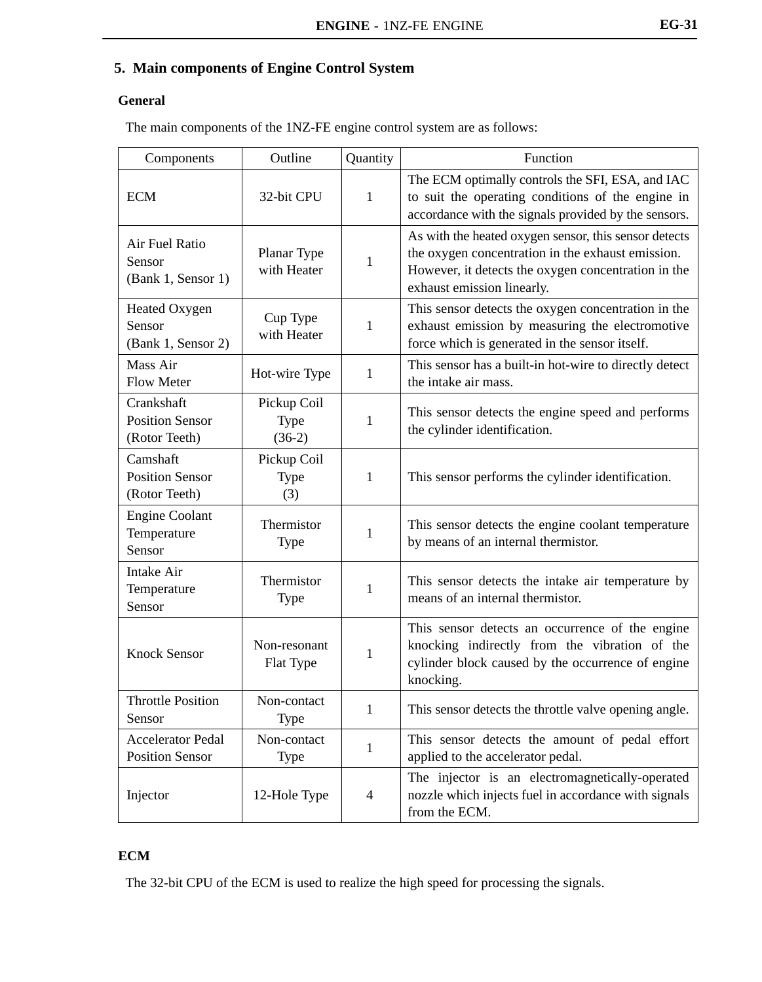# **5. Main components of Engine Control System**

#### **General**

The main components of the 1NZ-FE engine control system are as follows:

| Components                                            | Outline                                | Quantity       | Function                                                                                                                                                                                        |
|-------------------------------------------------------|----------------------------------------|----------------|-------------------------------------------------------------------------------------------------------------------------------------------------------------------------------------------------|
| <b>ECM</b>                                            | 32-bit CPU                             | $\mathbf{1}$   | The ECM optimally controls the SFI, ESA, and IAC<br>to suit the operating conditions of the engine in<br>accordance with the signals provided by the sensors.                                   |
| Air Fuel Ratio<br>Sensor<br>(Bank 1, Sensor 1)        | Planar Type<br>with Heater             | $\mathbf{1}$   | As with the heated oxygen sensor, this sensor detects<br>the oxygen concentration in the exhaust emission.<br>However, it detects the oxygen concentration in the<br>exhaust emission linearly. |
| Heated Oxygen<br>Sensor<br>(Bank 1, Sensor 2)         | Cup Type<br>with Heater                | 1              | This sensor detects the oxygen concentration in the<br>exhaust emission by measuring the electromotive<br>force which is generated in the sensor itself.                                        |
| Mass Air<br>Flow Meter                                | Hot-wire Type                          | 1              | This sensor has a built-in hot-wire to directly detect<br>the intake air mass.                                                                                                                  |
| Crankshaft<br><b>Position Sensor</b><br>(Rotor Teeth) | Pickup Coil<br><b>Type</b><br>$(36-2)$ | 1              | This sensor detects the engine speed and performs<br>the cylinder identification.                                                                                                               |
| Camshaft<br><b>Position Sensor</b><br>(Rotor Teeth)   | Pickup Coil<br>Type<br>(3)             | 1              | This sensor performs the cylinder identification.                                                                                                                                               |
| <b>Engine Coolant</b><br>Temperature<br>Sensor        | Thermistor<br>Type                     | 1              | This sensor detects the engine coolant temperature<br>by means of an internal thermistor.                                                                                                       |
| Intake Air<br>Temperature<br>Sensor                   | Thermistor<br>Type                     | 1              | This sensor detects the intake air temperature by<br>means of an internal thermistor.                                                                                                           |
| <b>Knock Sensor</b>                                   | Non-resonant<br>Flat Type              | $\mathbf{1}$   | This sensor detects an occurrence of the engine<br>knocking indirectly from the vibration of the<br>cylinder block caused by the occurrence of engine<br>knocking.                              |
| <b>Throttle Position</b><br>Sensor                    | Non-contact<br>Type                    | 1              | This sensor detects the throttle valve opening angle.                                                                                                                                           |
| <b>Accelerator Pedal</b><br><b>Position Sensor</b>    | Non-contact<br>Type                    | 1              | This sensor detects the amount of pedal effort<br>applied to the accelerator pedal.                                                                                                             |
| Injector                                              | 12-Hole Type                           | $\overline{4}$ | The injector is an electromagnetically-operated<br>nozzle which injects fuel in accordance with signals<br>from the ECM.                                                                        |

### **ECM**

The 32-bit CPU of the ECM is used to realize the high speed for processing the signals.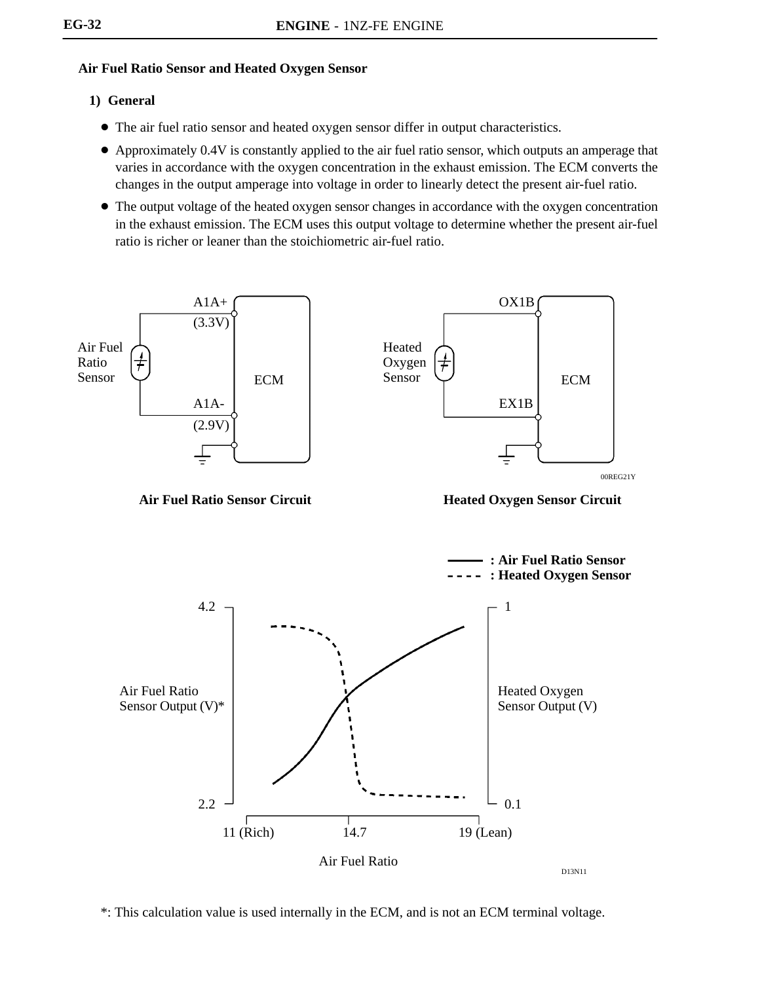### **Air Fuel Ratio Sensor and Heated Oxygen Sensor**

#### **1) General**

- The air fuel ratio sensor and heated oxygen sensor differ in output characteristics.
- Approximately 0.4V is constantly applied to the air fuel ratio sensor, which outputs an amperage that varies in accordance with the oxygen concentration in the exhaust emission. The ECM converts the changes in the output amperage into voltage in order to linearly detect the present air-fuel ratio.
- The output voltage of the heated oxygen sensor changes in accordance with the oxygen concentration in the exhaust emission. The ECM uses this output voltage to determine whether the present air-fuel ratio is richer or leaner than the stoichiometric air-fuel ratio.



\*: This calculation value is used internally in the ECM, and is not an ECM terminal voltage.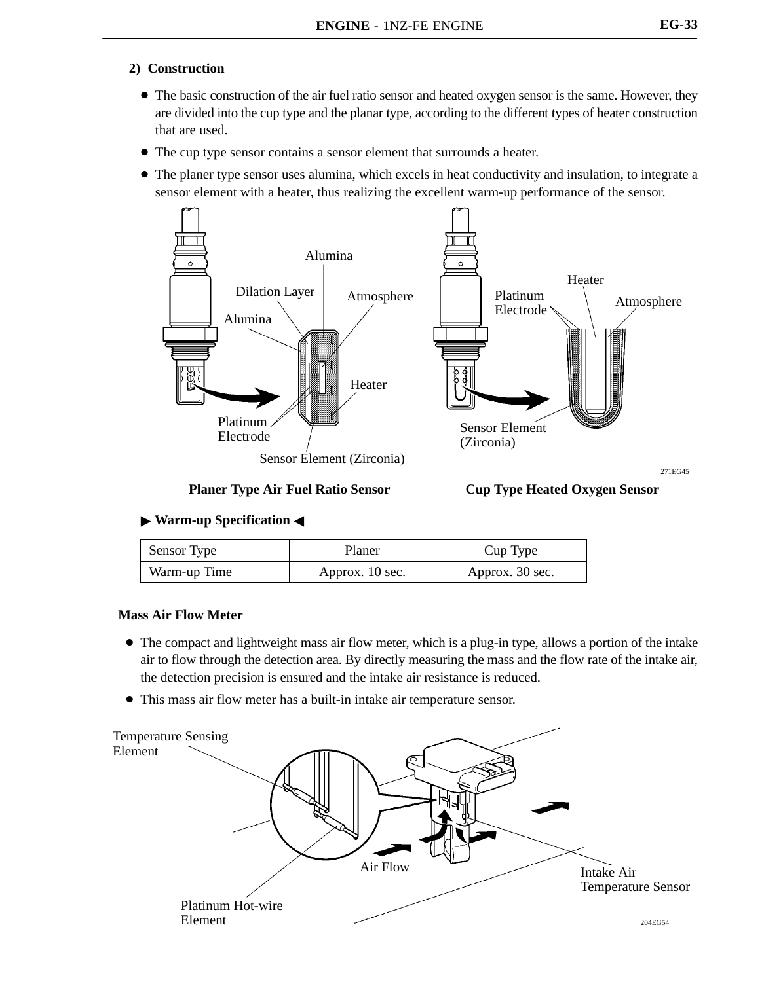#### **2) Construction**

- The basic construction of the air fuel ratio sensor and heated oxygen sensor is the same. However, they are divided into the cup type and the planar type, according to the different types of heater construction that are used.
- The cup type sensor contains a sensor element that surrounds a heater.
- The planer type sensor uses alumina, which excels in heat conductivity and insulation, to integrate a sensor element with a heater, thus realizing the excellent warm-up performance of the sensor.



#### **Planer Type Air Fuel Ratio Sensor Cup Type Heated Oxygen Sensor**

271EG45

### **Warm-up Specification** -

| Sensor Type  | Planer          | Cup Type        |
|--------------|-----------------|-----------------|
| Warm-up Time | Approx. 10 sec. | Approx. 30 sec. |

### **Mass Air Flow Meter**

- The compact and lightweight mass air flow meter, which is a plug-in type, allows a portion of the intake air to flow through the detection area. By directly measuring the mass and the flow rate of the intake air, the detection precision is ensured and the intake air resistance is reduced.
- This mass air flow meter has a built-in intake air temperature sensor.

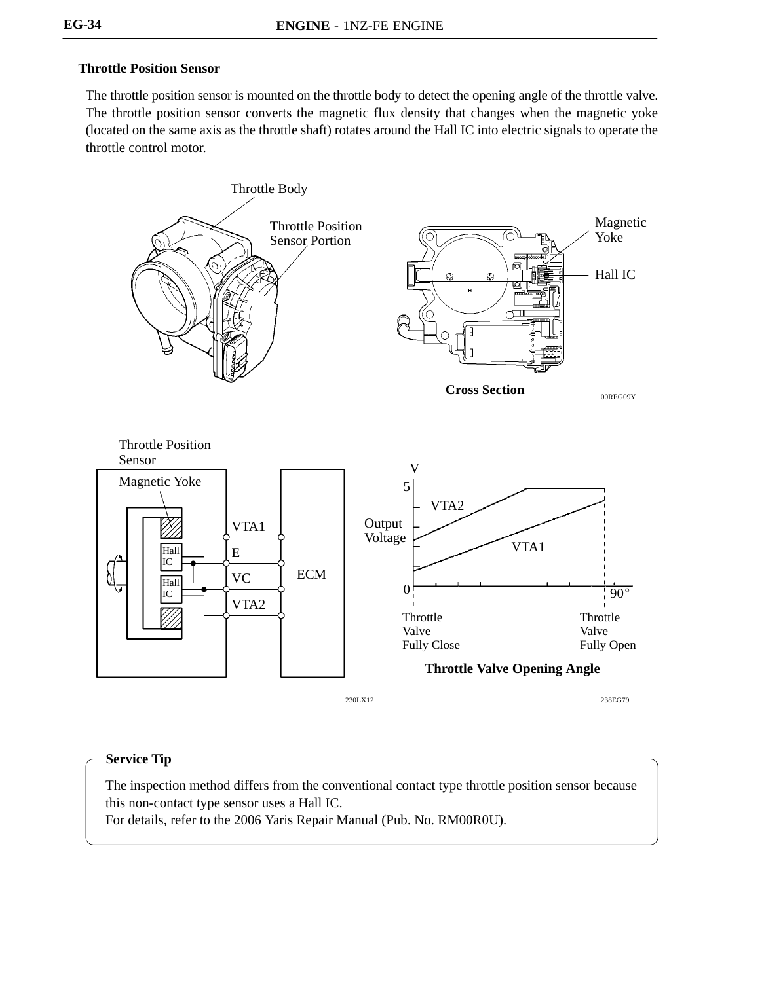#### **Throttle Position Sensor**

The throttle position sensor is mounted on the throttle body to detect the opening angle of the throttle valve. The throttle position sensor converts the magnetic flux density that changes when the magnetic yoke (located on the same axis as the throttle shaft) rotates around the Hall IC into electric signals to operate the throttle control motor.



#### **Service Tip**

The inspection method differs from the conventional contact type throttle position sensor because this non-contact type sensor uses a Hall IC.

For details, refer to the 2006 Yaris Repair Manual (Pub. No. RM00R0U).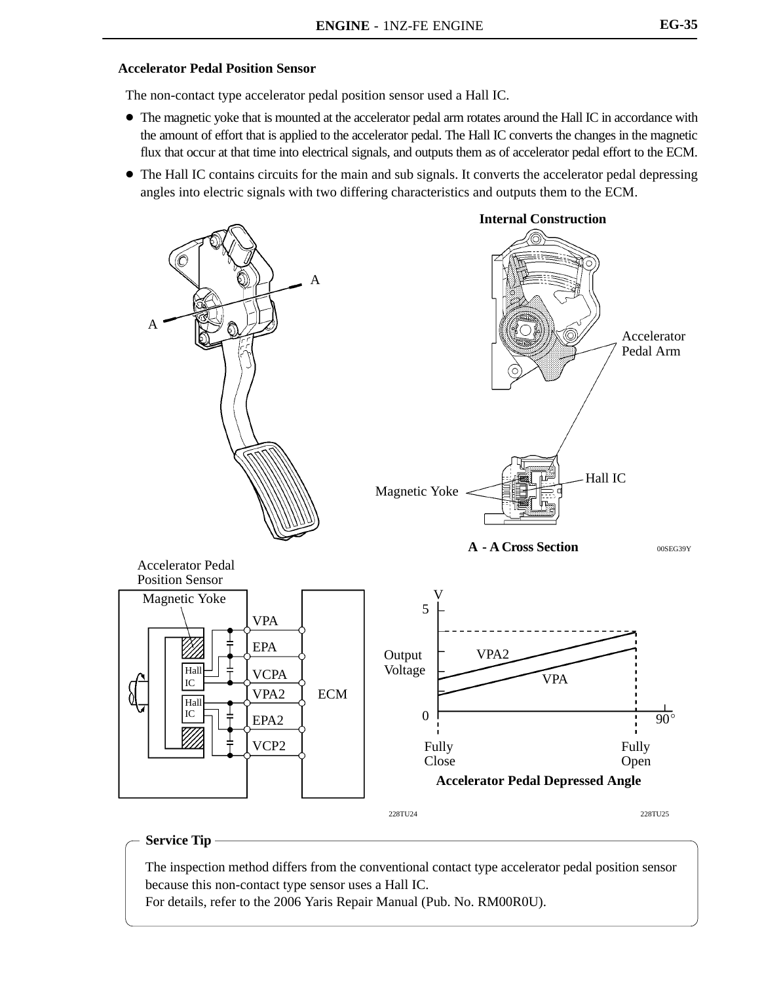#### **Accelerator Pedal Position Sensor**

The non-contact type accelerator pedal position sensor used a Hall IC.

- The magnetic yoke that is mounted at the accelerator pedal arm rotates around the Hall IC in accordance with the amount of effort that is applied to the accelerator pedal. The Hall IC converts the changes in the magnetic flux that occur at that time into electrical signals, and outputs them as of accelerator pedal effort to the ECM.
- The Hall IC contains circuits for the main and sub signals. It converts the accelerator pedal depressing angles into electric signals with two differing characteristics and outputs them to the ECM.



#### **Service Tip**

The inspection method differs from the conventional contact type accelerator pedal position sensor because this non-contact type sensor uses a Hall IC.

For details, refer to the 2006 Yaris Repair Manual (Pub. No. RM00R0U).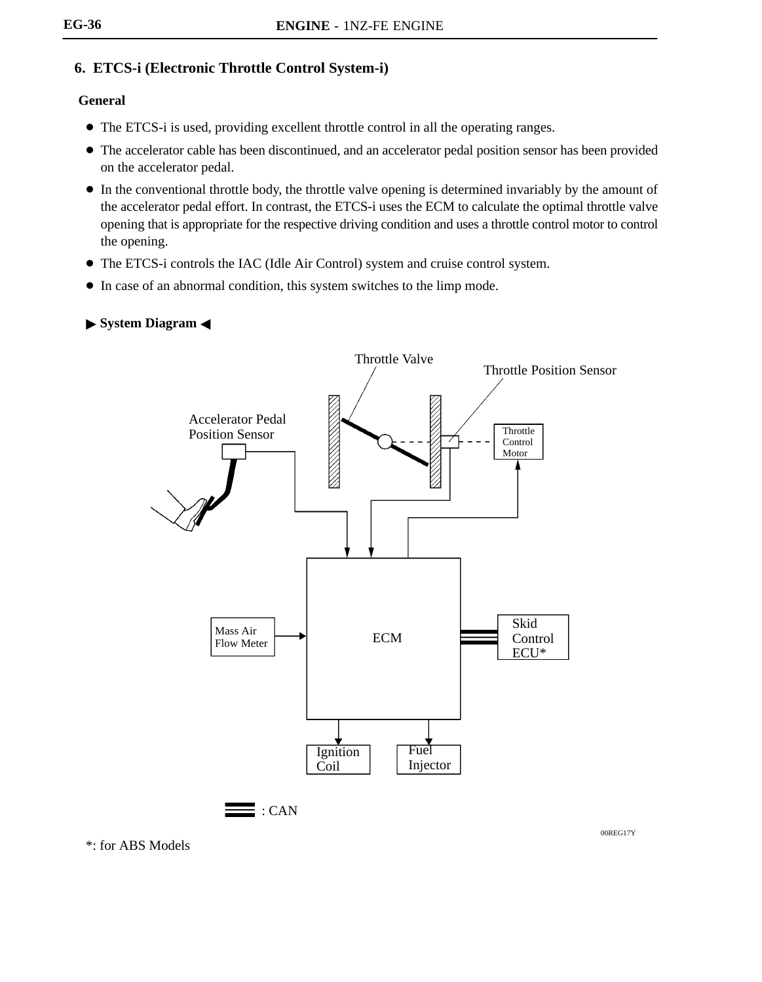# **6. ETCS-i (Electronic Throttle Control System-i)**

### **General**

- The ETCS-i is used, providing excellent throttle control in all the operating ranges.
- The accelerator cable has been discontinued, and an accelerator pedal position sensor has been provided on the accelerator pedal.
- In the conventional throttle body, the throttle valve opening is determined invariably by the amount of the accelerator pedal effort. In contrast, the ETCS-i uses the ECM to calculate the optimal throttle valve opening that is appropriate for the respective driving condition and uses a throttle control motor to control the opening.
- The ETCS-i controls the IAC (Idle Air Control) system and cruise control system.
- In case of an abnormal condition, this system switches to the limp mode.
- **System Diagram** -



\*: for ABS Models

00REG17Y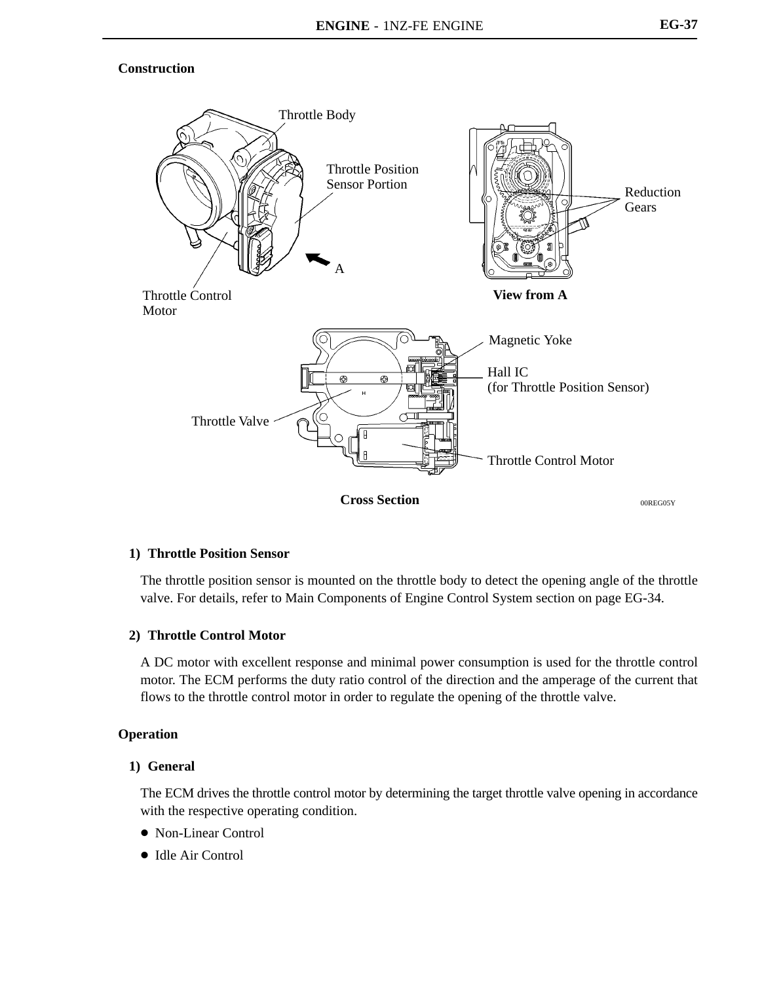#### **Construction**



**Cross Section**

00REG05Y

#### **1) Throttle Position Sensor**

The throttle position sensor is mounted on the throttle body to detect the opening angle of the throttle valve. For details, refer to Main Components of Engine Control System section on page EG-34.

#### **2) Throttle Control Motor**

A DC motor with excellent response and minimal power consumption is used for the throttle control motor. The ECM performs the duty ratio control of the direction and the amperage of the current that flows to the throttle control motor in order to regulate the opening of the throttle valve.

#### **Operation**

#### **1) General**

The ECM drives the throttle control motor by determining the target throttle valve opening in accordance with the respective operating condition.

- Non-Linear Control
- Idle Air Control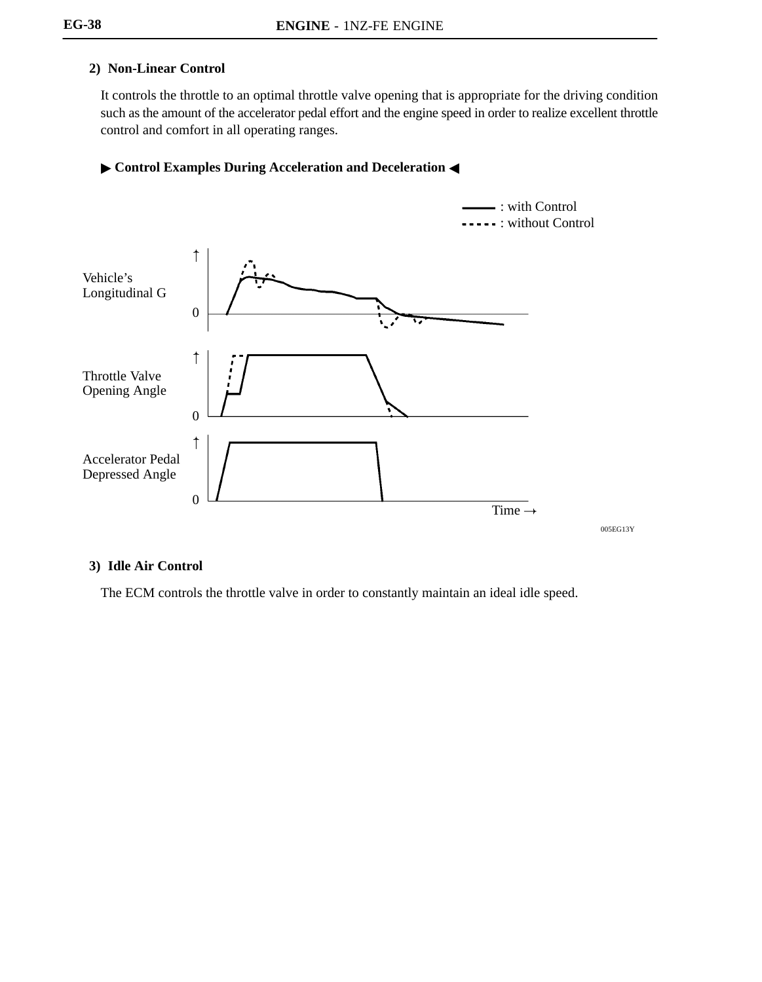## **2) Non-Linear Control**

It controls the throttle to an optimal throttle valve opening that is appropriate for the driving condition such as the amount of the accelerator pedal effort and the engine speed in order to realize excellent throttle control and comfort in all operating ranges.

#### **Control Examples During Acceleration and Deceleration <**



**3) Idle Air Control**

The ECM controls the throttle valve in order to constantly maintain an ideal idle speed.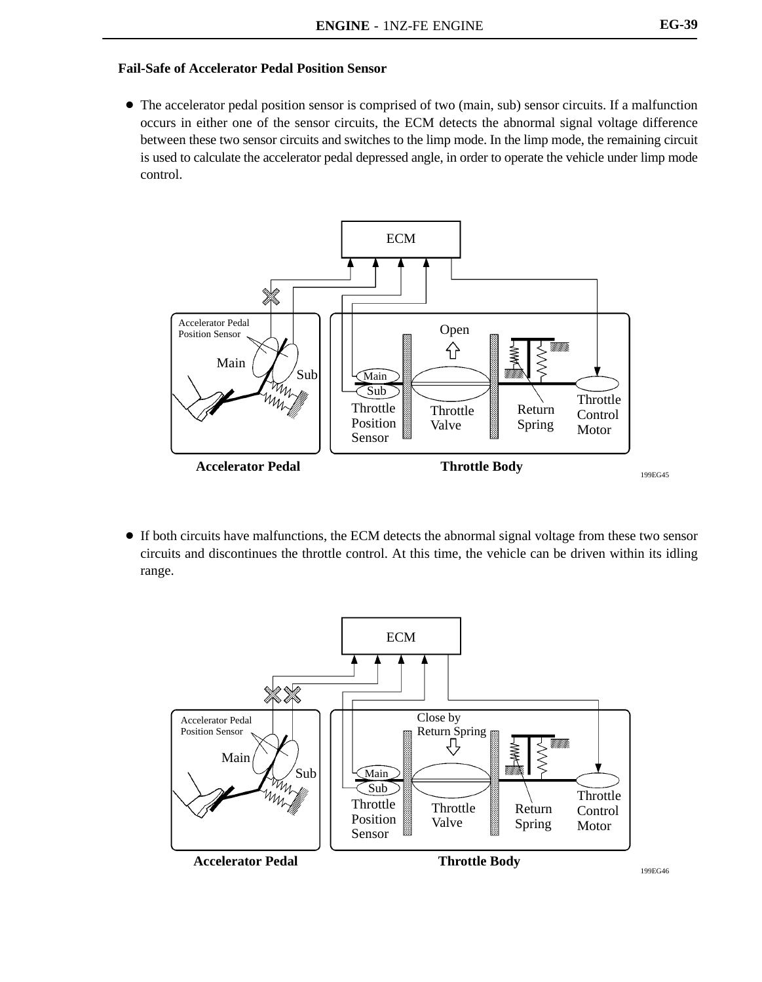#### **Fail-Safe of Accelerator Pedal Position Sensor**

• The accelerator pedal position sensor is comprised of two (main, sub) sensor circuits. If a malfunction occurs in either one of the sensor circuits, the ECM detects the abnormal signal voltage difference between these two sensor circuits and switches to the limp mode. In the limp mode, the remaining circuit is used to calculate the accelerator pedal depressed angle, in order to operate the vehicle under limp mode control.



 If both circuits have malfunctions, the ECM detects the abnormal signal voltage from these two sensor circuits and discontinues the throttle control. At this time, the vehicle can be driven within its idling range.

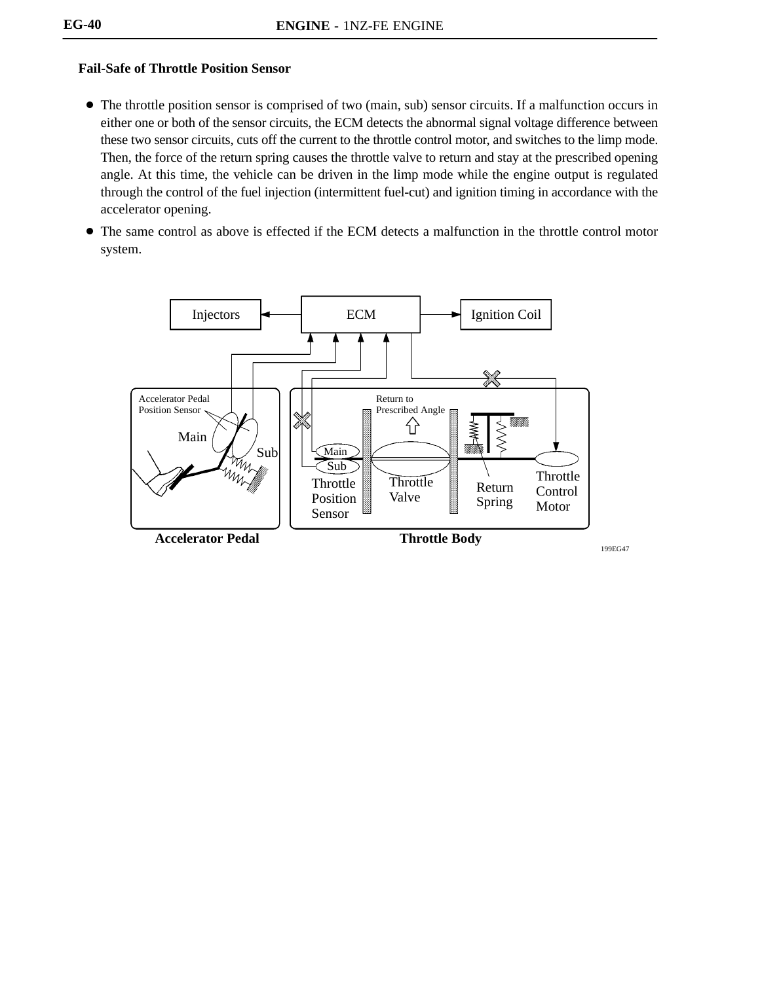### **Fail-Safe of Throttle Position Sensor**

- The throttle position sensor is comprised of two (main, sub) sensor circuits. If a malfunction occurs in either one or both of the sensor circuits, the ECM detects the abnormal signal voltage difference between these two sensor circuits, cuts off the current to the throttle control motor, and switches to the limp mode. Then, the force of the return spring causes the throttle valve to return and stay at the prescribed opening angle. At this time, the vehicle can be driven in the limp mode while the engine output is regulated through the control of the fuel injection (intermittent fuel-cut) and ignition timing in accordance with the accelerator opening.
- The same control as above is effected if the ECM detects a malfunction in the throttle control motor system.

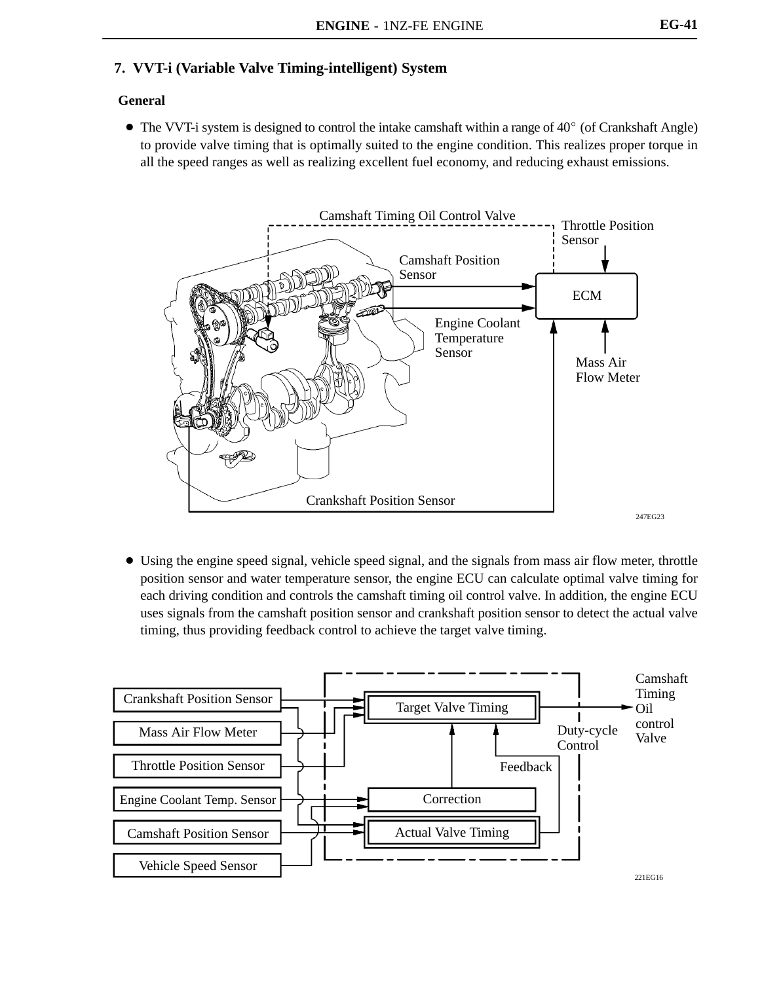# **7. VVT-i (Variable Valve Timing-intelligent) System**

### **General**

 $\bullet$  The VVT-i system is designed to control the intake camshaft within a range of 40 $\degree$  (of Crankshaft Angle) to provide valve timing that is optimally suited to the engine condition. This realizes proper torque in all the speed ranges as well as realizing excellent fuel economy, and reducing exhaust emissions.



 Using the engine speed signal, vehicle speed signal, and the signals from mass air flow meter, throttle position sensor and water temperature sensor, the engine ECU can calculate optimal valve timing for each driving condition and controls the camshaft timing oil control valve. In addition, the engine ECU uses signals from the camshaft position sensor and crankshaft position sensor to detect the actual valve timing, thus providing feedback control to achieve the target valve timing.

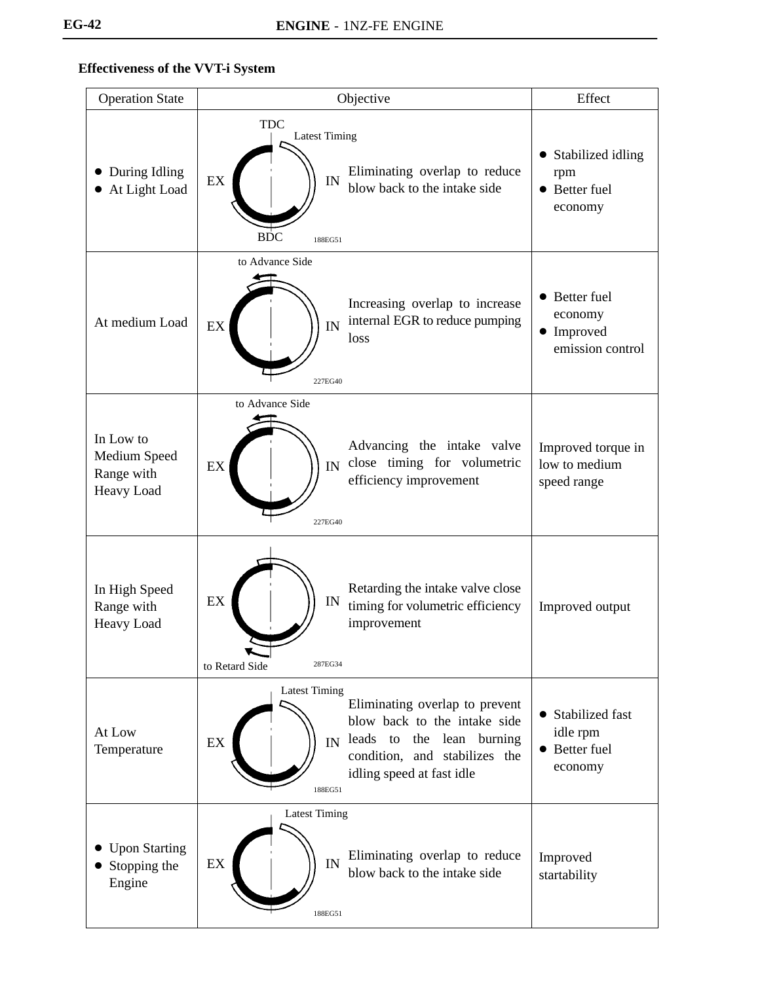# **Effectiveness of the VVT-i System**

| <b>Operation State</b>                                | Objective                                                                                                                                                                                                   | Effect                                                                |
|-------------------------------------------------------|-------------------------------------------------------------------------------------------------------------------------------------------------------------------------------------------------------------|-----------------------------------------------------------------------|
| During Idling<br>At Light Load                        | <b>TDC</b><br><b>Latest Timing</b><br>Eliminating overlap to reduce<br>EX<br>IN<br>blow back to the intake side<br><b>BDC</b><br>188EG51                                                                    | Stabilized idling<br>$\bullet$<br>rpm<br>• Better fuel<br>economy     |
| At medium Load                                        | to Advance Side<br>Increasing overlap to increase<br>internal EGR to reduce pumping<br>IN<br>EX<br>loss<br>227EG40                                                                                          | Better fuel<br>$\bullet$<br>economy<br>• Improved<br>emission control |
| In Low to<br>Medium Speed<br>Range with<br>Heavy Load | to Advance Side<br>Advancing the intake valve<br>close timing for volumetric<br>IN<br>EX<br>efficiency improvement<br>227EG40                                                                               | Improved torque in<br>low to medium<br>speed range                    |
| In High Speed<br>Range with<br>Heavy Load             | Retarding the intake valve close<br>EX<br>IN<br>timing for volumetric efficiency<br>improvement<br>287EG34<br>to Retard Side                                                                                | Improved output                                                       |
| At Low<br>Temperature                                 | <b>Latest Timing</b><br>Eliminating overlap to prevent<br>blow back to the intake side<br>leads to<br>the lean burning<br>IN<br>EX<br>condition, and stabilizes the<br>idling speed at fast idle<br>188EG51 | • Stabilized fast<br>idle rpm<br>• Better fuel<br>economy             |
| <b>Upon Starting</b><br>Stopping the<br>Engine        | <b>Latest Timing</b><br>Eliminating overlap to reduce<br>IN<br>EX<br>blow back to the intake side<br>188EG51                                                                                                | Improved<br>startability                                              |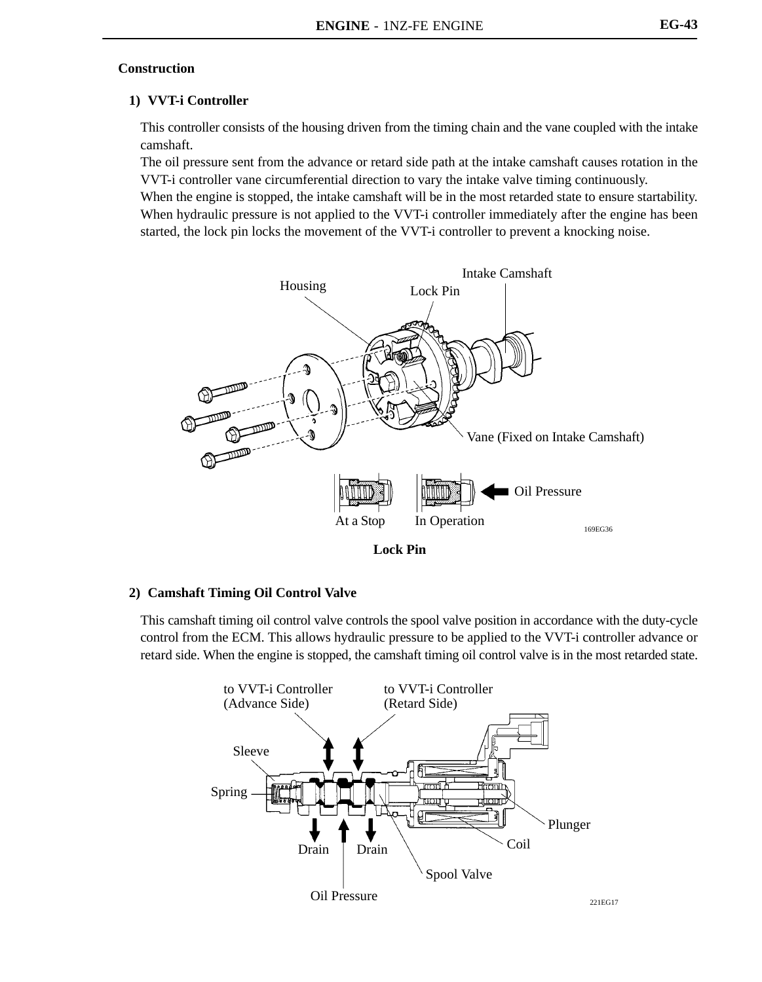#### **Construction**

#### **1) VVT-i Controller**

This controller consists of the housing driven from the timing chain and the vane coupled with the intake camshaft.

The oil pressure sent from the advance or retard side path at the intake camshaft causes rotation in the VVT-i controller vane circumferential direction to vary the intake valve timing continuously.

When the engine is stopped, the intake camshaft will be in the most retarded state to ensure startability. When hydraulic pressure is not applied to the VVT-i controller immediately after the engine has been started, the lock pin locks the movement of the VVT-i controller to prevent a knocking noise.



#### **2) Camshaft Timing Oil Control Valve**

This camshaft timing oil control valve controls the spool valve position in accordance with the duty-cycle control from the ECM. This allows hydraulic pressure to be applied to the VVT-i controller advance or retard side. When the engine is stopped, the camshaft timing oil control valve is in the most retarded state.

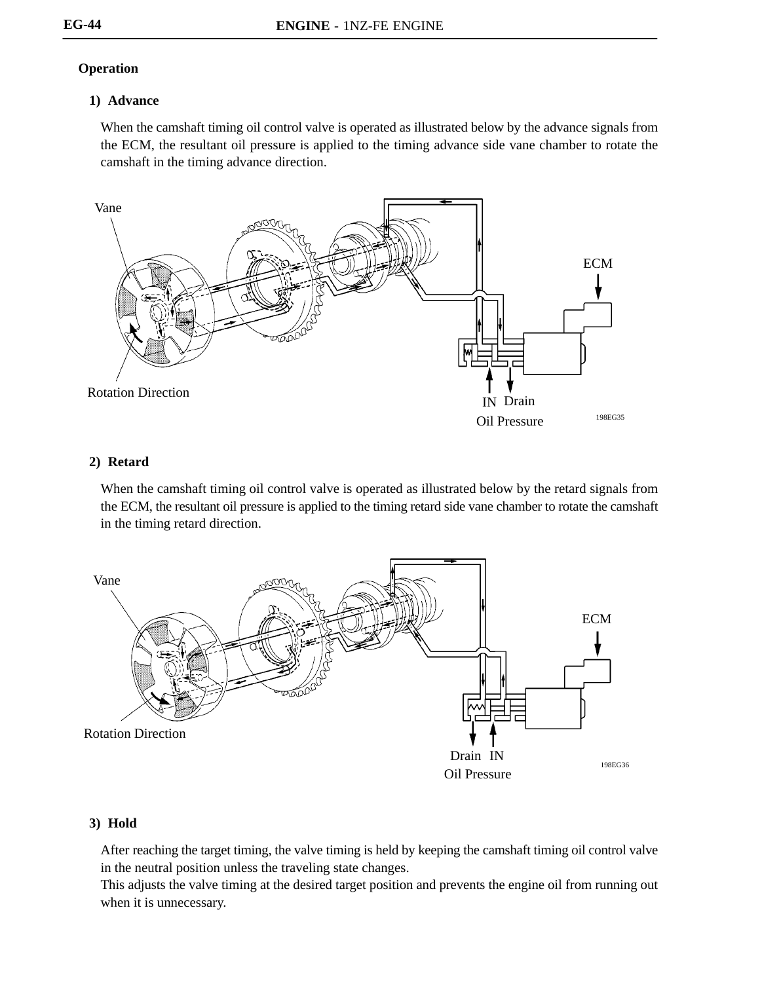## **Operation**

### **1) Advance**

When the camshaft timing oil control valve is operated as illustrated below by the advance signals from the ECM, the resultant oil pressure is applied to the timing advance side vane chamber to rotate the camshaft in the timing advance direction.



### **2) Retard**

When the camshaft timing oil control valve is operated as illustrated below by the retard signals from the ECM, the resultant oil pressure is applied to the timing retard side vane chamber to rotate the camshaft in the timing retard direction.



# **3) Hold**

After reaching the target timing, the valve timing is held by keeping the camshaft timing oil control valve in the neutral position unless the traveling state changes.

This adjusts the valve timing at the desired target position and prevents the engine oil from running out when it is unnecessary.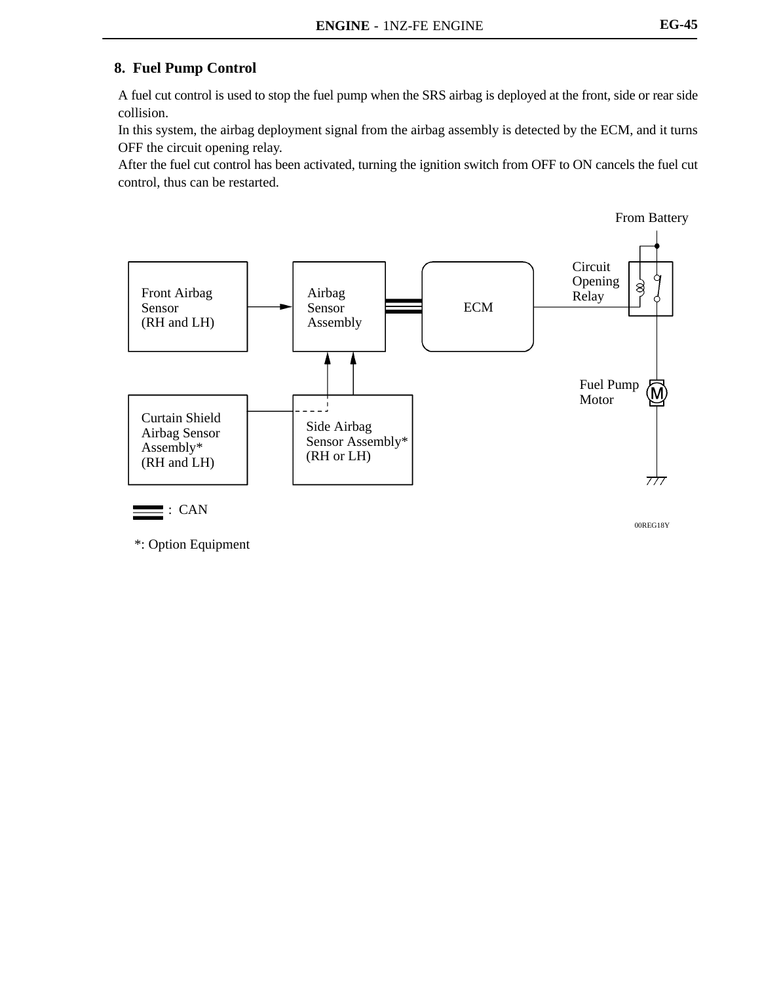# **8. Fuel Pump Control**

A fuel cut control is used to stop the fuel pump when the SRS airbag is deployed at the front, side or rear side collision.

In this system, the airbag deployment signal from the airbag assembly is detected by the ECM, and it turns OFF the circuit opening relay.

After the fuel cut control has been activated, turning the ignition switch from OFF to ON cancels the fuel cut control, thus can be restarted.

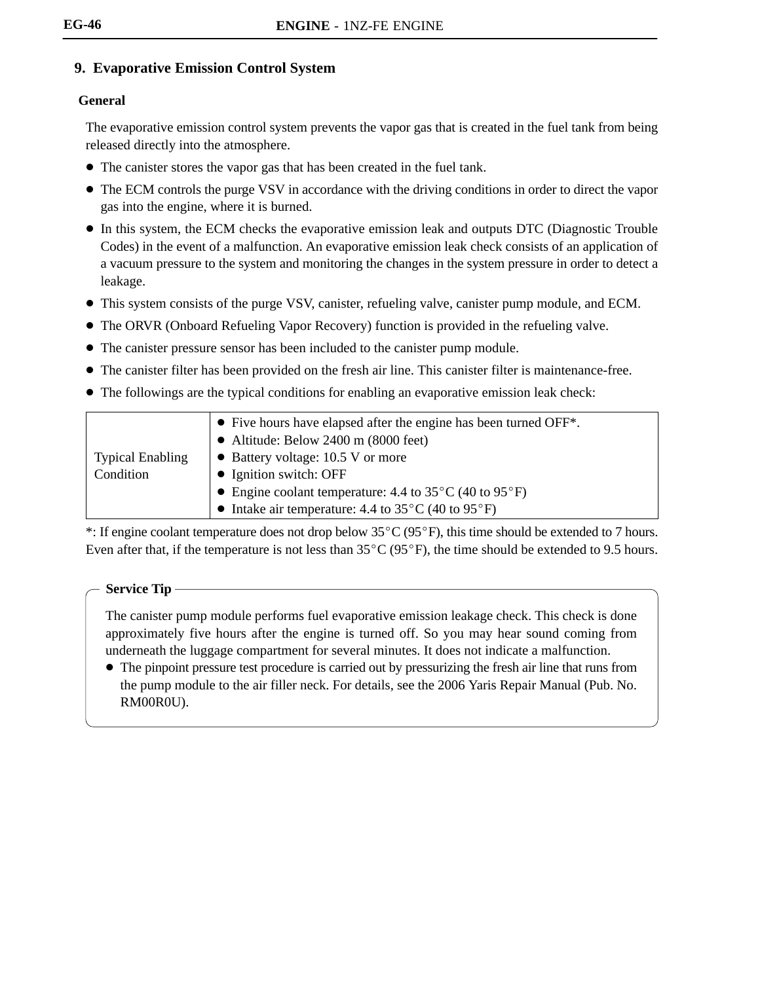# **9. Evaporative Emission Control System**

## **General**

The evaporative emission control system prevents the vapor gas that is created in the fuel tank from being released directly into the atmosphere.

- The canister stores the vapor gas that has been created in the fuel tank.
- The ECM controls the purge VSV in accordance with the driving conditions in order to direct the vapor gas into the engine, where it is burned.
- In this system, the ECM checks the evaporative emission leak and outputs DTC (Diagnostic Trouble Codes) in the event of a malfunction. An evaporative emission leak check consists of an application of a vacuum pressure to the system and monitoring the changes in the system pressure in order to detect a leakage.
- This system consists of the purge VSV, canister, refueling valve, canister pump module, and ECM.
- The ORVR (Onboard Refueling Vapor Recovery) function is provided in the refueling valve.
- The canister pressure sensor has been included to the canister pump module.
- The canister filter has been provided on the fresh air line. This canister filter is maintenance-free.
- The followings are the typical conditions for enabling an evaporative emission leak check:

|                         | $\bullet$ Five hours have elapsed after the engine has been turned OFF <sup>*</sup> . |
|-------------------------|---------------------------------------------------------------------------------------|
|                         | • Altitude: Below 2400 m $(8000 \text{ feet})$                                        |
| <b>Typical Enabling</b> | • Battery voltage: 10.5 V or more                                                     |
| Condition               | • Ignition switch: OFF                                                                |
|                         | • Engine coolant temperature: 4.4 to $35^{\circ}$ C (40 to $95^{\circ}$ F)            |
|                         | • Intake air temperature: 4.4 to $35^{\circ}$ C (40 to $95^{\circ}$ F)                |

\*: If engine coolant temperature does not drop below  $35^{\circ}C(95^{\circ}F)$ , this time should be extended to 7 hours. Even after that, if the temperature is not less than  $35^{\circ}C(95^{\circ}F)$ , the time should be extended to 9.5 hours.

### **Service Tip**

The canister pump module performs fuel evaporative emission leakage check. This check is done approximately five hours after the engine is turned off. So you may hear sound coming from underneath the luggage compartment for several minutes. It does not indicate a malfunction.

• The pinpoint pressure test procedure is carried out by pressurizing the fresh air line that runs from the pump module to the air filler neck. For details, see the 2006 Yaris Repair Manual (Pub. No. RM00R0U).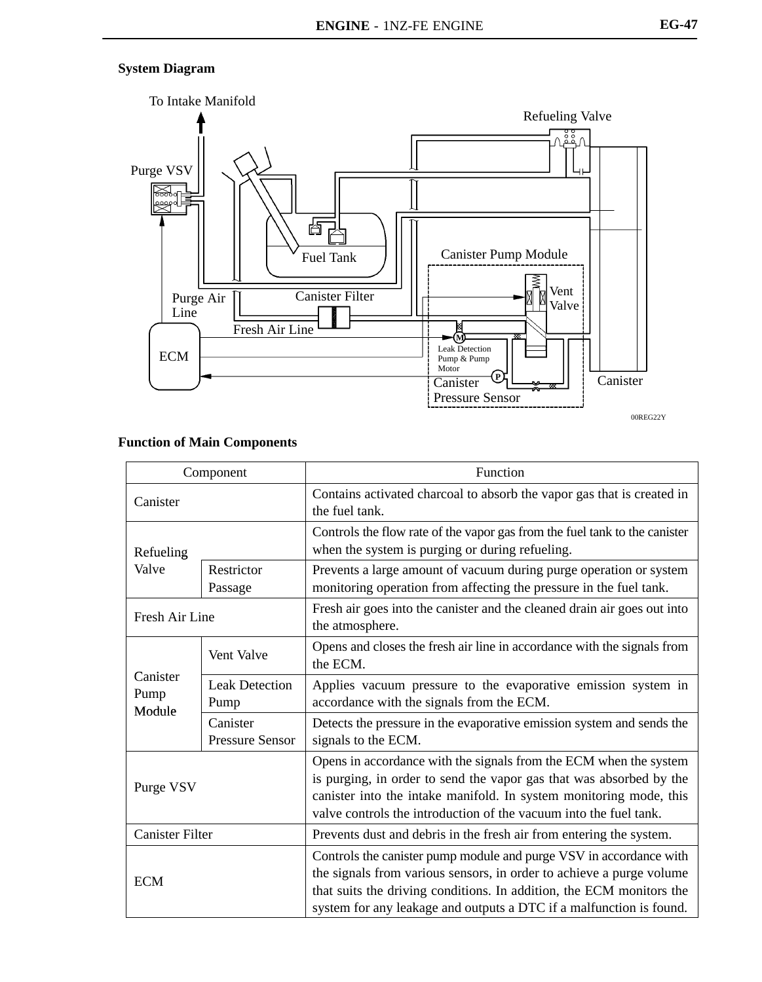## **System Diagram**



00REG22Y

| Component                  |                                    | Function                                                                                                                                                                                                                                                                                  |  |  |
|----------------------------|------------------------------------|-------------------------------------------------------------------------------------------------------------------------------------------------------------------------------------------------------------------------------------------------------------------------------------------|--|--|
| Canister                   |                                    | Contains activated charcoal to absorb the vapor gas that is created in<br>the fuel tank.                                                                                                                                                                                                  |  |  |
| Refueling                  |                                    | Controls the flow rate of the vapor gas from the fuel tank to the canister<br>when the system is purging or during refueling.                                                                                                                                                             |  |  |
| Valve                      | Restrictor<br>Passage              | Prevents a large amount of vacuum during purge operation or system<br>monitoring operation from affecting the pressure in the fuel tank.                                                                                                                                                  |  |  |
| Fresh Air Line             |                                    | Fresh air goes into the canister and the cleaned drain air goes out into<br>the atmosphere.                                                                                                                                                                                               |  |  |
| Canister<br>Pump<br>Module | Vent Valve                         | Opens and closes the fresh air line in accordance with the signals from<br>the ECM.                                                                                                                                                                                                       |  |  |
|                            | <b>Leak Detection</b><br>Pump      | Applies vacuum pressure to the evaporative emission system in<br>accordance with the signals from the ECM.                                                                                                                                                                                |  |  |
|                            | Canister<br><b>Pressure Sensor</b> | Detects the pressure in the evaporative emission system and sends the<br>signals to the ECM.                                                                                                                                                                                              |  |  |
| Purge VSV                  |                                    | Opens in accordance with the signals from the ECM when the system<br>is purging, in order to send the vapor gas that was absorbed by the<br>canister into the intake manifold. In system monitoring mode, this<br>valve controls the introduction of the vacuum into the fuel tank.       |  |  |
| <b>Canister Filter</b>     |                                    | Prevents dust and debris in the fresh air from entering the system.                                                                                                                                                                                                                       |  |  |
| <b>ECM</b>                 |                                    | Controls the canister pump module and purge VSV in accordance with<br>the signals from various sensors, in order to achieve a purge volume<br>that suits the driving conditions. In addition, the ECM monitors the<br>system for any leakage and outputs a DTC if a malfunction is found. |  |  |

## **Function of Main Components**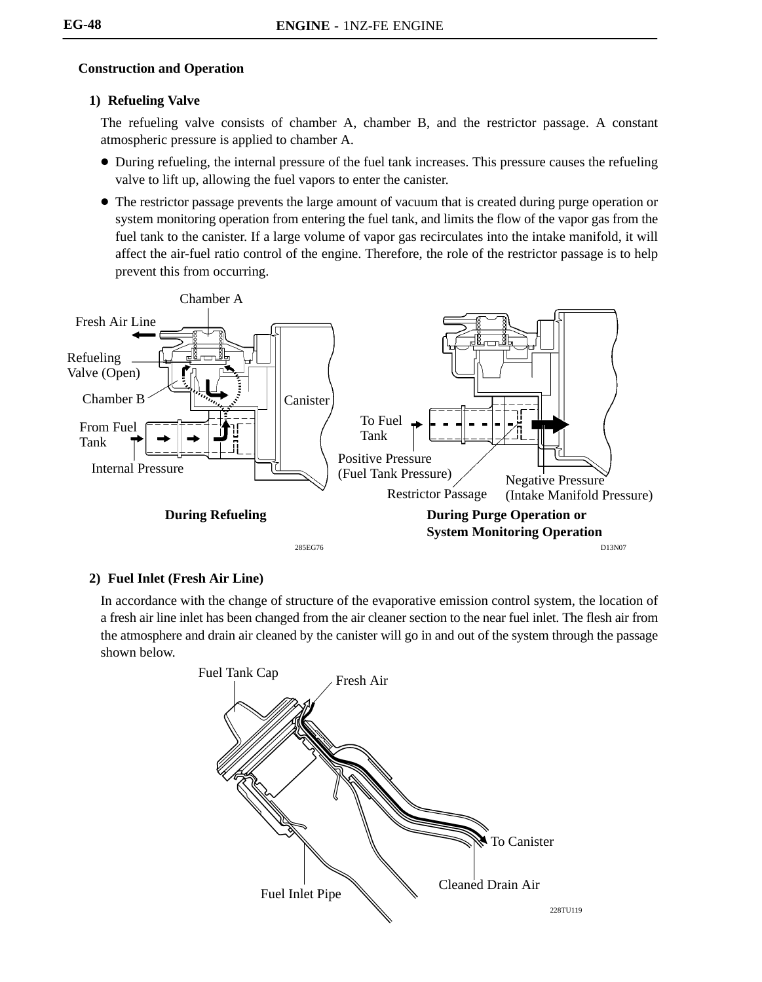### **Construction and Operation**

#### **1) Refueling Valve**

The refueling valve consists of chamber A, chamber B, and the restrictor passage. A constant atmospheric pressure is applied to chamber A.

- During refueling, the internal pressure of the fuel tank increases. This pressure causes the refueling valve to lift up, allowing the fuel vapors to enter the canister.
- The restrictor passage prevents the large amount of vacuum that is created during purge operation or system monitoring operation from entering the fuel tank, and limits the flow of the vapor gas from the fuel tank to the canister. If a large volume of vapor gas recirculates into the intake manifold, it will affect the air-fuel ratio control of the engine. Therefore, the role of the restrictor passage is to help prevent this from occurring.



### **2) Fuel Inlet (Fresh Air Line)**

In accordance with the change of structure of the evaporative emission control system, the location of a fresh air line inlet has been changed from the air cleaner section to the near fuel inlet. The flesh air from the atmosphere and drain air cleaned by the canister will go in and out of the system through the passage shown below.

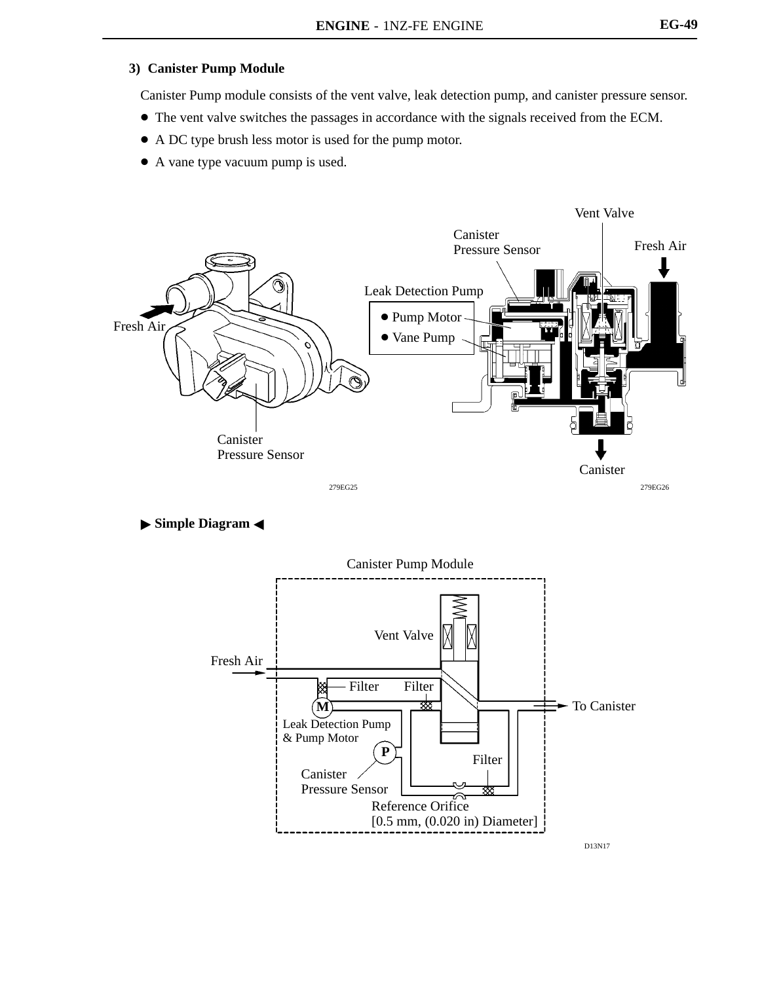#### **3) Canister Pump Module**

Canister Pump module consists of the vent valve, leak detection pump, and canister pressure sensor.

- The vent valve switches the passages in accordance with the signals received from the ECM.
- A DC type brush less motor is used for the pump motor.
- A vane type vacuum pump is used.



**Simple Diagram <** 

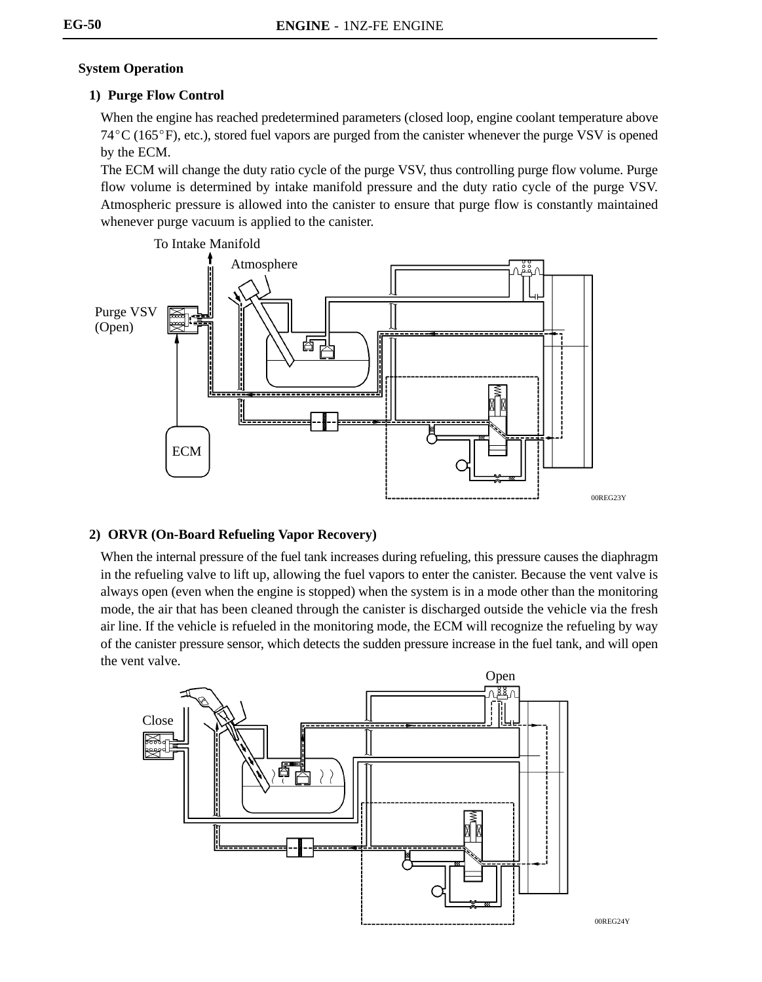### **System Operation**

## **1) Purge Flow Control**

When the engine has reached predetermined parameters (closed loop, engine coolant temperature above  $74^{\circ}$ C (165 $^{\circ}$ F), etc.), stored fuel vapors are purged from the canister whenever the purge VSV is opened by the ECM.

The ECM will change the duty ratio cycle of the purge VSV, thus controlling purge flow volume. Purge flow volume is determined by intake manifold pressure and the duty ratio cycle of the purge VSV. Atmospheric pressure is allowed into the canister to ensure that purge flow is constantly maintained whenever purge vacuum is applied to the canister.



### **2) ORVR (On-Board Refueling Vapor Recovery)**

When the internal pressure of the fuel tank increases during refueling, this pressure causes the diaphragm in the refueling valve to lift up, allowing the fuel vapors to enter the canister. Because the vent valve is always open (even when the engine is stopped) when the system is in a mode other than the monitoring mode, the air that has been cleaned through the canister is discharged outside the vehicle via the fresh air line. If the vehicle is refueled in the monitoring mode, the ECM will recognize the refueling by way of the canister pressure sensor, which detects the sudden pressure increase in the fuel tank, and will open the vent valve.

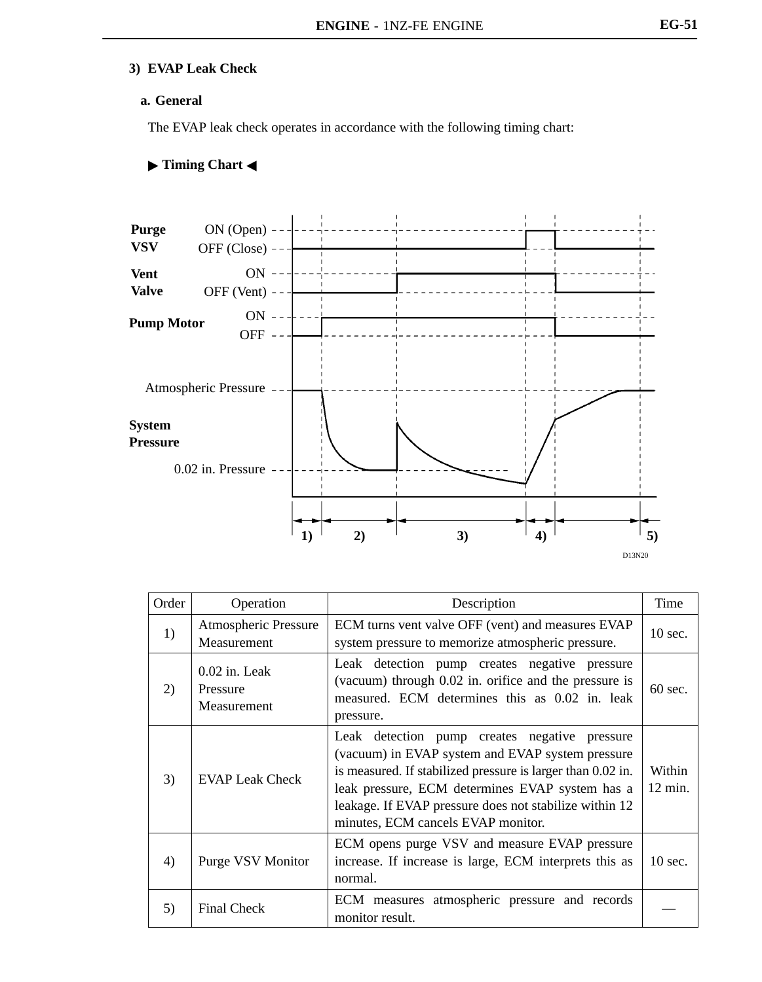# **3) EVAP Leak Check**

#### **a. General**

The EVAP leak check operates in accordance with the following timing chart:

#### **Timing Chart** -



| Order | Operation                                                                                                                               | Description                                                                                                                                                                                                                                                                                                            |                             |
|-------|-----------------------------------------------------------------------------------------------------------------------------------------|------------------------------------------------------------------------------------------------------------------------------------------------------------------------------------------------------------------------------------------------------------------------------------------------------------------------|-----------------------------|
| 1)    | <b>Atmospheric Pressure</b><br>Measurement                                                                                              | ECM turns vent valve OFF (vent) and measures EVAP<br>system pressure to memorize atmospheric pressure.                                                                                                                                                                                                                 |                             |
| 2)    | $0.02$ in. Leak<br>Pressure<br>Measurement                                                                                              | Leak detection pump creates negative<br>pressure<br>(vacuum) through 0.02 in. orifice and the pressure is<br>measured. ECM determines this as 0.02 in. leak<br>pressure.                                                                                                                                               | $60 \text{ sec.}$           |
| 3)    | <b>EVAP Leak Check</b>                                                                                                                  | Leak detection pump creates negative<br>pressure<br>(vacuum) in EVAP system and EVAP system pressure<br>is measured. If stabilized pressure is larger than 0.02 in.<br>leak pressure, ECM determines EVAP system has a<br>leakage. If EVAP pressure does not stabilize within 12<br>minutes, ECM cancels EVAP monitor. | Within<br>$12 \text{ min.}$ |
| 4)    | ECM opens purge VSV and measure EVAP pressure<br>increase. If increase is large, ECM interprets this as<br>Purge VSV Monitor<br>normal. |                                                                                                                                                                                                                                                                                                                        | $10$ sec.                   |
| 5)    | ECM measures atmospheric pressure and records<br><b>Final Check</b><br>monitor result.                                                  |                                                                                                                                                                                                                                                                                                                        |                             |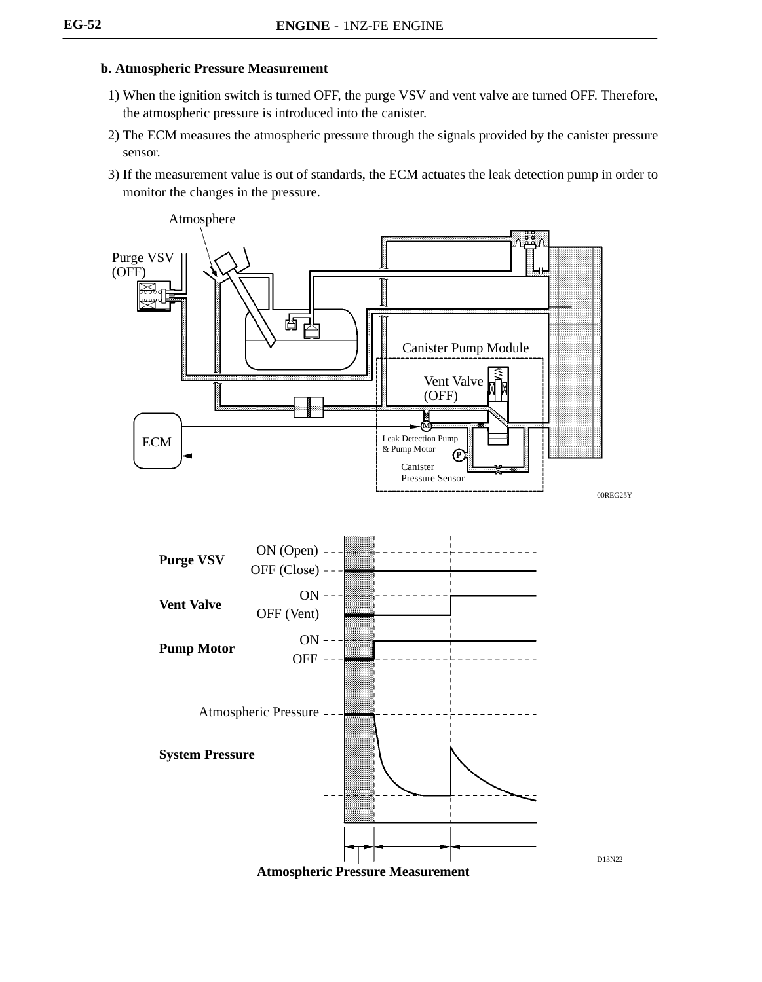#### **b. Atmospheric Pressure Measurement**

- 1) When the ignition switch is turned OFF, the purge VSV and vent valve are turned OFF. Therefore, the atmospheric pressure is introduced into the canister.
- 2) The ECM measures the atmospheric pressure through the signals provided by the canister pressure sensor.
- 3) If the measurement value is out of standards, the ECM actuates the leak detection pump in order to monitor the changes in the pressure.

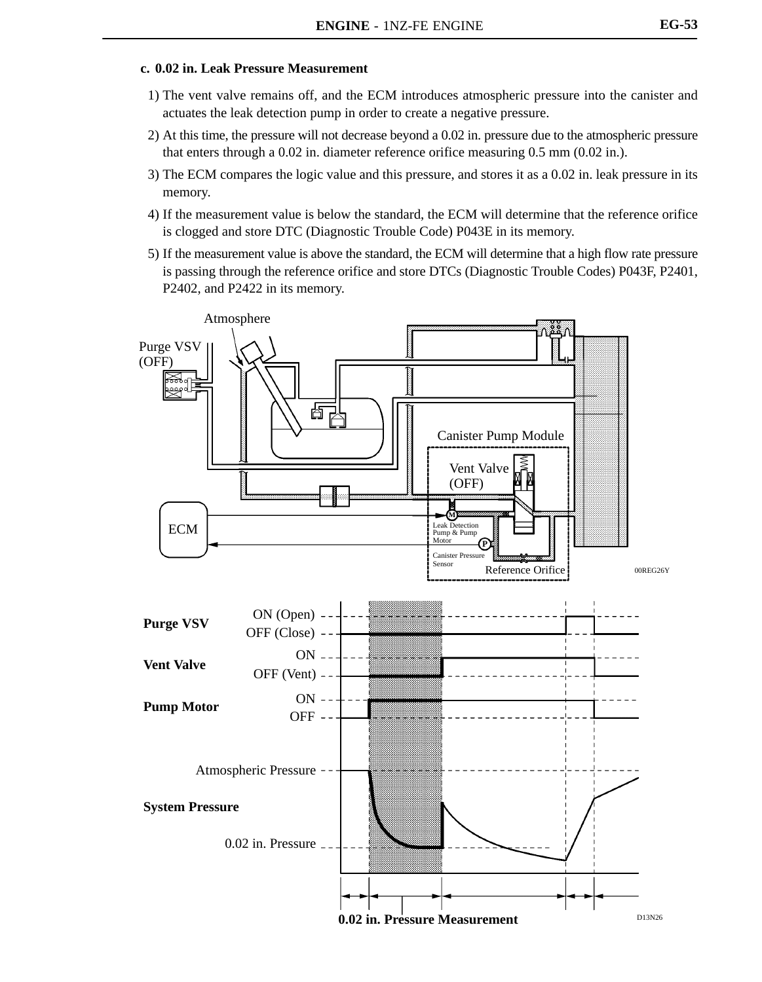#### **c. 0.02 in. Leak Pressure Measurement**

- 1) The vent valve remains off, and the ECM introduces atmospheric pressure into the canister and actuates the leak detection pump in order to create a negative pressure.
- 2) At this time, the pressure will not decrease beyond a 0.02 in. pressure due to the atmospheric pressure that enters through a 0.02 in. diameter reference orifice measuring 0.5 mm (0.02 in.).
- 3) The ECM compares the logic value and this pressure, and stores it as a 0.02 in. leak pressure in its memory.
- 4) If the measurement value is below the standard, the ECM will determine that the reference orifice is clogged and store DTC (Diagnostic Trouble Code) P043E in its memory.
- 5) If the measurement value is above the standard, the ECM will determine that a high flow rate pressure is passing through the reference orifice and store DTCs (Diagnostic Trouble Codes) P043F, P2401, P2402, and P2422 in its memory.

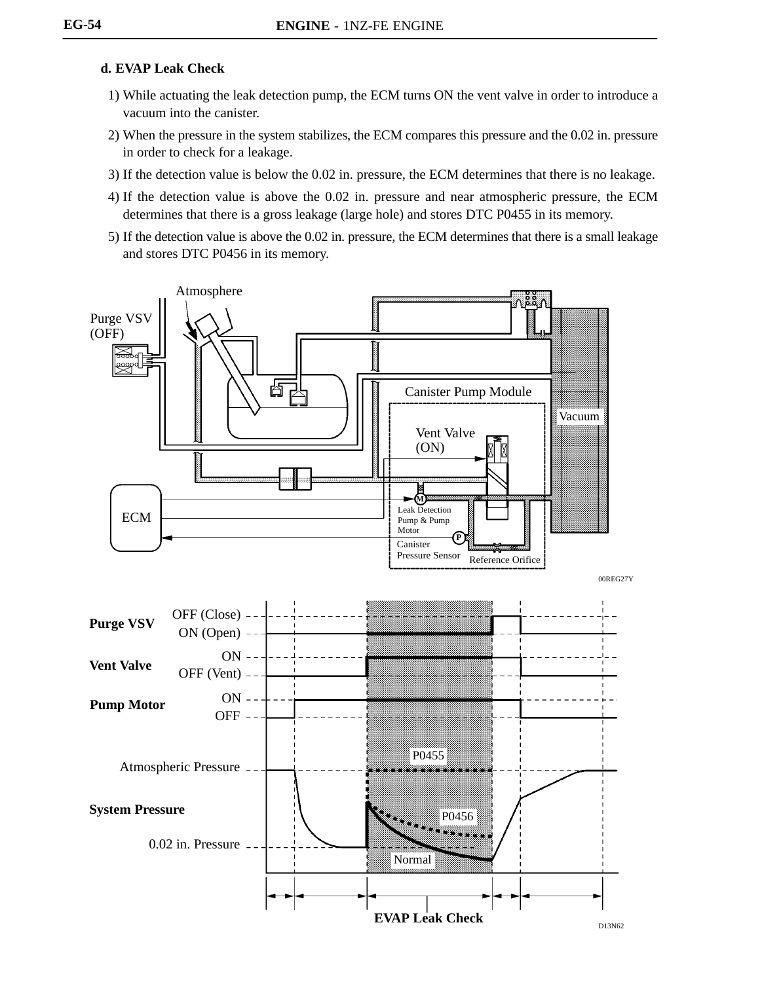#### **d. EVAP Leak Check**

- 1) While actuating the leak detection pump, the ECM turns ON the vent valve in order to introduce a vacuum into the canister.
- 2) When the pressure in the system stabilizes, the ECM compares this pressure and the 0.02 in. pressure in order to check for a leakage.
- 3) If the detection value is below the 0.02 in. pressure, the ECM determines that there is no leakage.
- 4) If the detection value is above the 0.02 in. pressure and near atmospheric pressure, the ECM determines that there is a gross leakage (large hole) and stores DTC P0455 in its memory.
- 5) If the detection value is above the 0.02 in. pressure, the ECM determines that there is a small leakage and stores DTC P0456 in its memory.

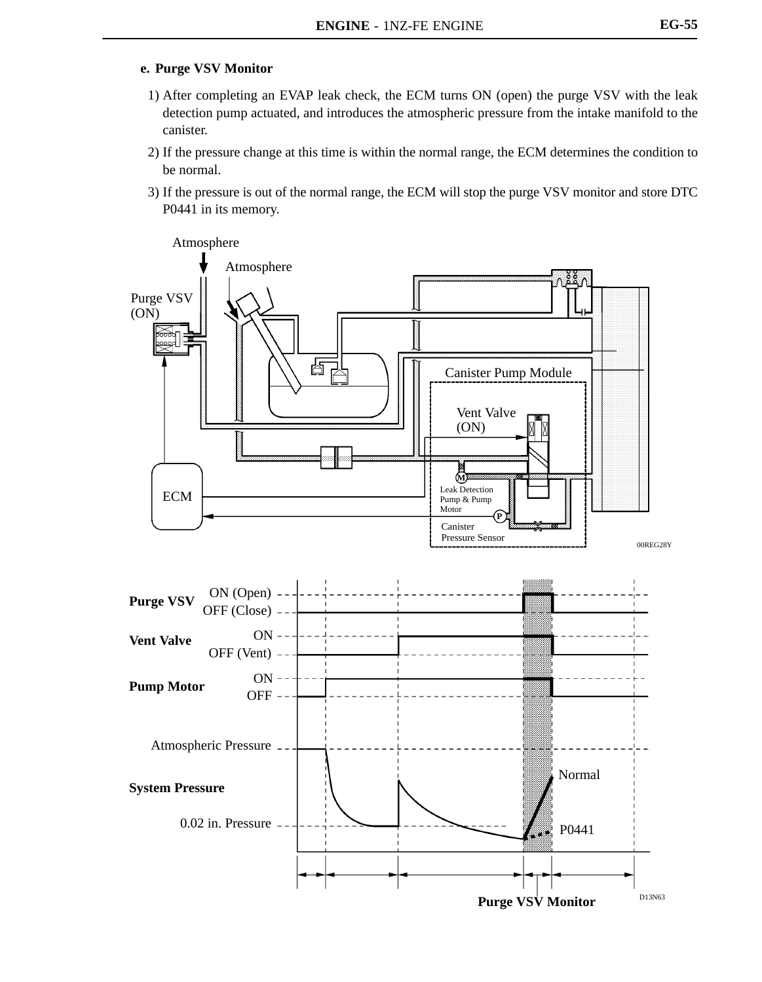#### **e. Purge VSV Monitor**

- 1) After completing an EVAP leak check, the ECM turns ON (open) the purge VSV with the leak detection pump actuated, and introduces the atmospheric pressure from the intake manifold to the canister.
- 2) If the pressure change at this time is within the normal range, the ECM determines the condition to be normal.
- 3) If the pressure is out of the normal range, the ECM will stop the purge VSV monitor and store DTC P0441 in its memory.

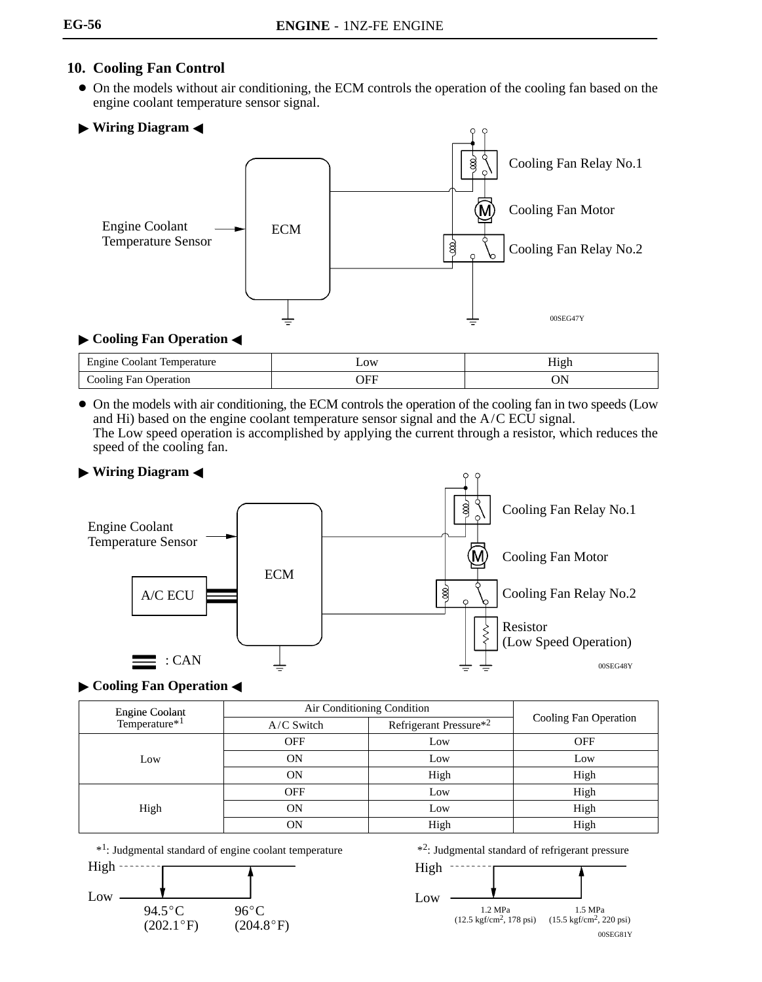# **10. Cooling Fan Control**

- On the models without air conditioning, the ECM controls the operation of the cooling fan based on the engine coolant temperature sensor signal.
- **Wiring Diagram** -



### **Cooling Fan Operation <**

| :oolant<br>Engine<br>$\cdots$ Lempos<br>ப்பத | $\sim 0W$<br>$  -$ | ını<br>$\ldots$ |
|----------------------------------------------|--------------------|-----------------|
| Fan<br>$\bigcirc$ ooling '<br>Jperation      |                    |                 |

 On the models with air conditioning, the ECM controls the operation of the cooling fan in two speeds (Low and Hi) based on the engine coolant temperature sensor signal and the A/C ECU signal. The Low speed operation is accomplished by applying the current through a resistor, which reduces the speed of the cooling fan.



# **Cooling Fan Operation <**

|                                             | Air Conditioning Condition |                        |                       |  |
|---------------------------------------------|----------------------------|------------------------|-----------------------|--|
| Engine Coolant<br>Temperature* <sup>1</sup> | $A/C$ Switch               | Refrigerant Pressure*2 | Cooling Fan Operation |  |
| Low                                         | <b>OFF</b>                 | Low                    | <b>OFF</b>            |  |
|                                             | <b>ON</b>                  | Low                    | Low                   |  |
|                                             | <b>ON</b>                  | High                   | High                  |  |
|                                             | <b>OFF</b>                 | Low                    | High                  |  |
| High                                        | ON                         | Low                    | High                  |  |
|                                             | ON                         | High                   | High                  |  |





\*2: Judgmental standard of refrigerant pressure

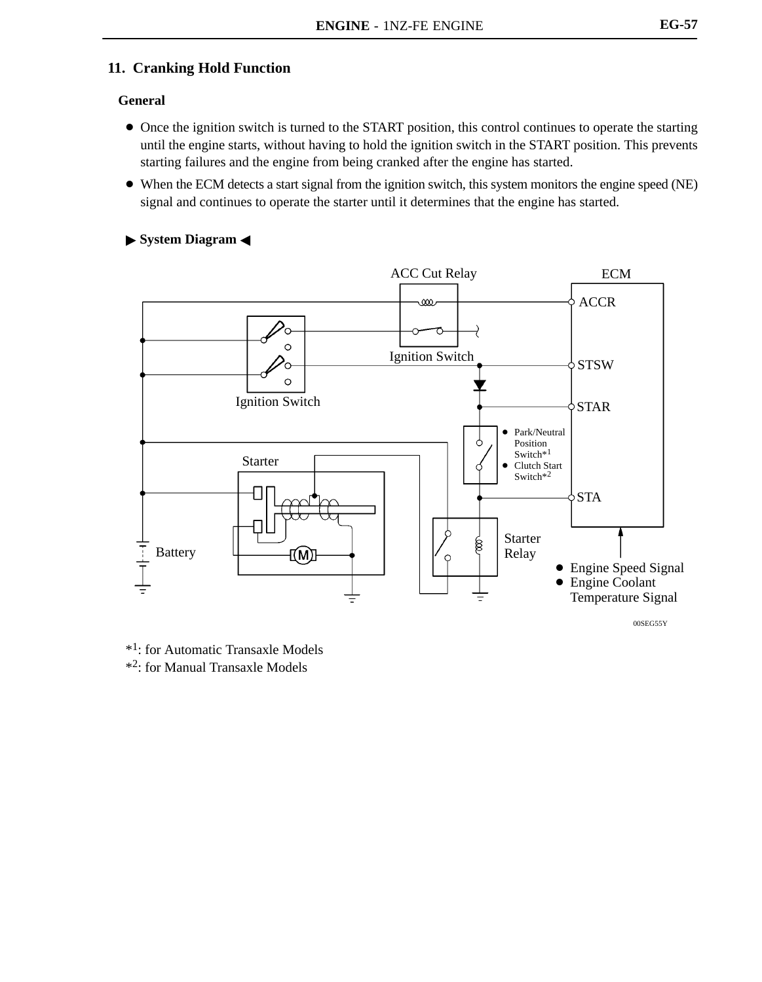## **11. Cranking Hold Function**

#### **General**

- Once the ignition switch is turned to the START position, this control continues to operate the starting until the engine starts, without having to hold the ignition switch in the START position. This prevents starting failures and the engine from being cranked after the engine has started.
- When the ECM detects a start signal from the ignition switch, this system monitors the engine speed (NE) signal and continues to operate the starter until it determines that the engine has started.

#### **System Diagram** -



\*1: for Automatic Transaxle Models \*2: for Manual Transaxle Models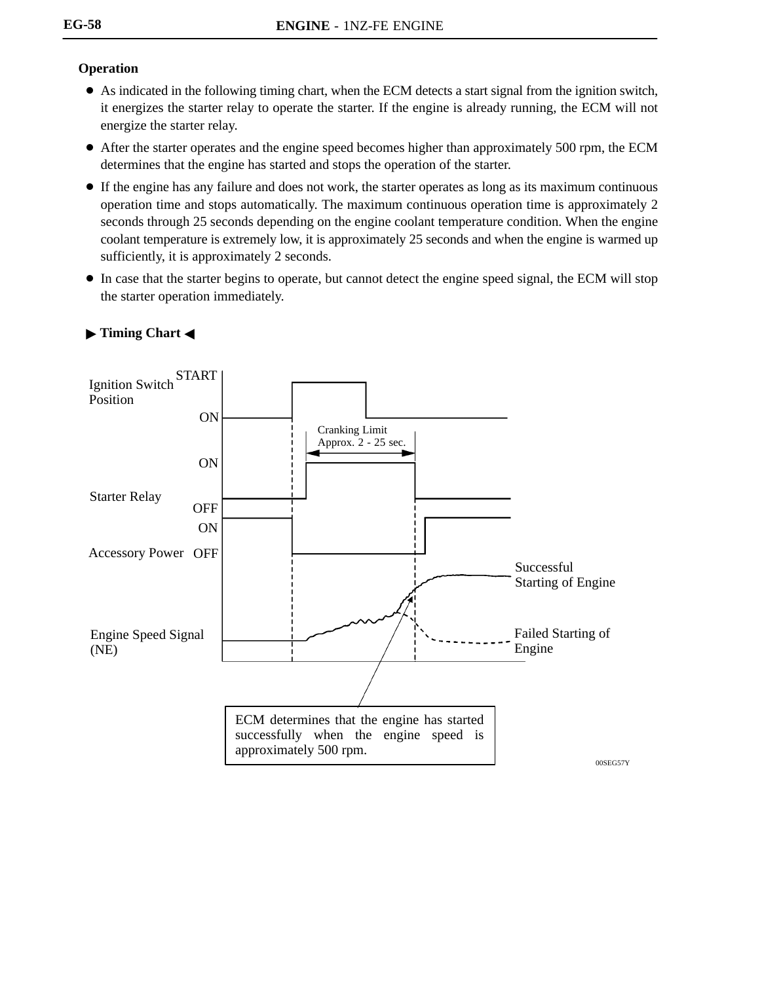## **Operation**

- As indicated in the following timing chart, when the ECM detects a start signal from the ignition switch, it energizes the starter relay to operate the starter. If the engine is already running, the ECM will not energize the starter relay.
- After the starter operates and the engine speed becomes higher than approximately 500 rpm, the ECM determines that the engine has started and stops the operation of the starter.
- If the engine has any failure and does not work, the starter operates as long as its maximum continuous operation time and stops automatically. The maximum continuous operation time is approximately 2 seconds through 25 seconds depending on the engine coolant temperature condition. When the engine coolant temperature is extremely low, it is approximately 25 seconds and when the engine is warmed up sufficiently, it is approximately 2 seconds.
- In case that the starter begins to operate, but cannot detect the engine speed signal, the ECM will stop the starter operation immediately.

![](_page_56_Figure_6.jpeg)

### **Timing Chart**  $\triangleleft$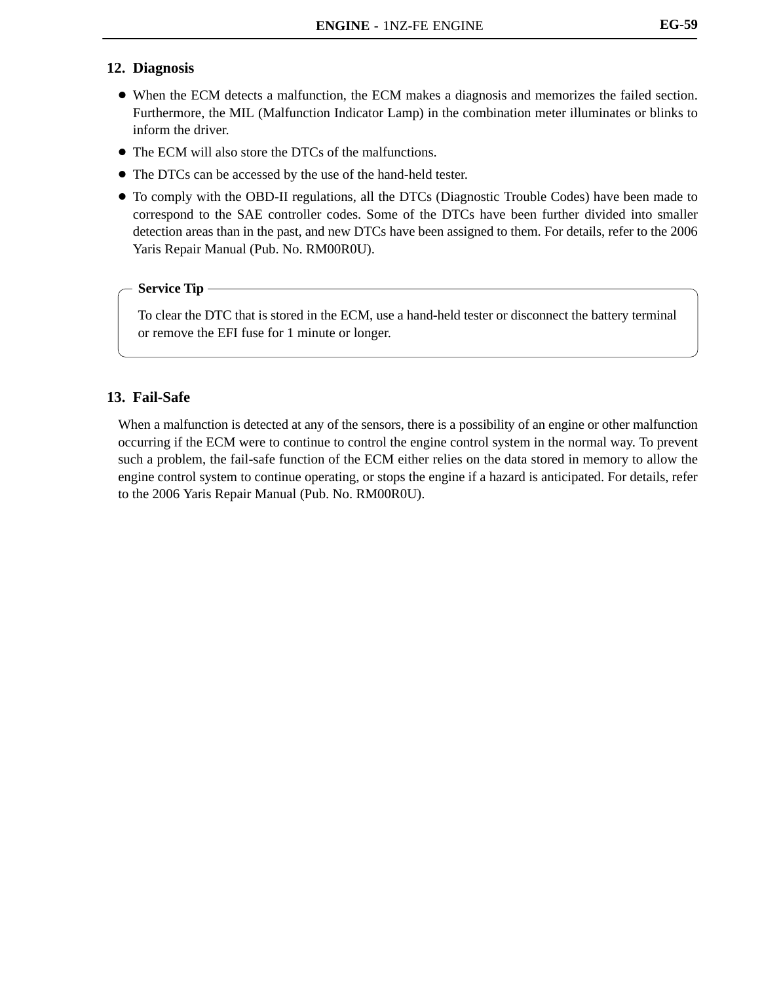#### **12. Diagnosis**

- When the ECM detects a malfunction, the ECM makes a diagnosis and memorizes the failed section. Furthermore, the MIL (Malfunction Indicator Lamp) in the combination meter illuminates or blinks to inform the driver.
- The ECM will also store the DTCs of the malfunctions.
- The DTCs can be accessed by the use of the hand-held tester.
- To comply with the OBD-II regulations, all the DTCs (Diagnostic Trouble Codes) have been made to correspond to the SAE controller codes. Some of the DTCs have been further divided into smaller detection areas than in the past, and new DTCs have been assigned to them. For details, refer to the 2006 Yaris Repair Manual (Pub. No. RM00R0U).

#### **Service Tip**

To clear the DTC that is stored in the ECM, use a hand-held tester or disconnect the battery terminal or remove the EFI fuse for 1 minute or longer.

### **13. Fail-Safe**

When a malfunction is detected at any of the sensors, there is a possibility of an engine or other malfunction occurring if the ECM were to continue to control the engine control system in the normal way. To prevent such a problem, the fail-safe function of the ECM either relies on the data stored in memory to allow the engine control system to continue operating, or stops the engine if a hazard is anticipated. For details, refer to the 2006 Yaris Repair Manual (Pub. No. RM00R0U).